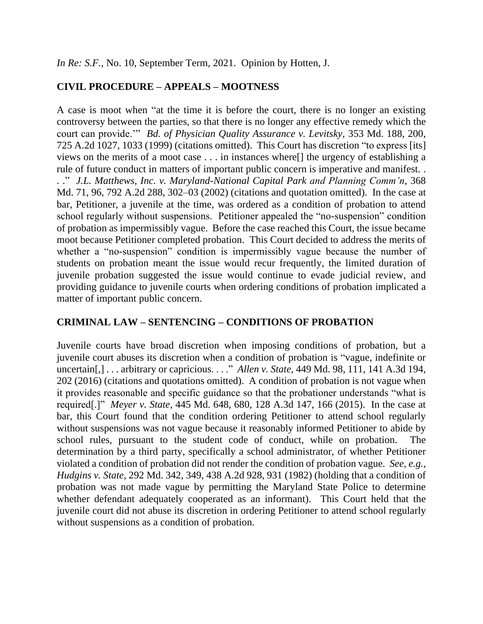*In Re: S.F.*, No. 10, September Term, 2021. Opinion by Hotten, J.

# **CIVIL PROCEDURE – APPEALS – MOOTNESS**

A case is moot when "at the time it is before the court, there is no longer an existing controversy between the parties, so that there is no longer any effective remedy which the court can provide.'" *Bd. of Physician Quality Assurance v. Levitsky*, 353 Md. 188, 200, 725 A.2d 1027, 1033 (1999) (citations omitted). This Court has discretion "to express [its] views on the merits of a moot case . . . in instances where[] the urgency of establishing a rule of future conduct in matters of important public concern is imperative and manifest. . . ." *J.L. Matthews, Inc. v. Maryland-National Capital Park and Planning Comm'n*, 368 Md. 71, 96, 792 A.2d 288, 302–03 (2002) (citations and quotation omitted). In the case at bar, Petitioner, a juvenile at the time, was ordered as a condition of probation to attend school regularly without suspensions. Petitioner appealed the "no-suspension" condition of probation as impermissibly vague. Before the case reached this Court, the issue became moot because Petitioner completed probation. This Court decided to address the merits of whether a "no-suspension" condition is impermissibly vague because the number of students on probation meant the issue would recur frequently, the limited duration of juvenile probation suggested the issue would continue to evade judicial review, and providing guidance to juvenile courts when ordering conditions of probation implicated a matter of important public concern.

# **CRIMINAL LAW – SENTENCING – CONDITIONS OF PROBATION**

Juvenile courts have broad discretion when imposing conditions of probation, but a juvenile court abuses its discretion when a condition of probation is "vague, indefinite or uncertain[,] . . . arbitrary or capricious. . . ." *Allen v. State*, 449 Md. 98, 111, 141 A.3d 194, 202 (2016) (citations and quotations omitted). A condition of probation is not vague when it provides reasonable and specific guidance so that the probationer understands "what is required[.]" *Meyer v. State*, 445 Md. 648, 680, 128 A.3d 147, 166 (2015). In the case at bar, this Court found that the condition ordering Petitioner to attend school regularly without suspensions was not vague because it reasonably informed Petitioner to abide by school rules, pursuant to the student code of conduct, while on probation. The determination by a third party, specifically a school administrator, of whether Petitioner violated a condition of probation did not render the condition of probation vague. *See, e.g.*, *Hudgins v. State*, 292 Md. 342, 349, 438 A.2d 928, 931 (1982) (holding that a condition of probation was not made vague by permitting the Maryland State Police to determine whether defendant adequately cooperated as an informant). This Court held that the juvenile court did not abuse its discretion in ordering Petitioner to attend school regularly without suspensions as a condition of probation.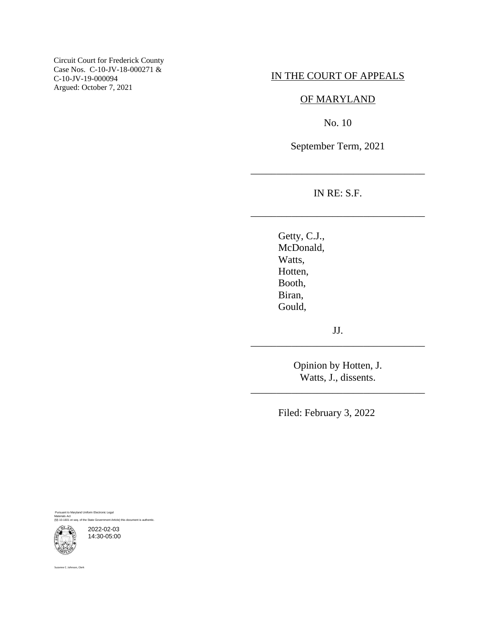Circuit Court for Frederick County Case Nos. C-10-JV-18-000271 & C-10-JV-19-000094 Argued: October 7, 2021

# IN THE COURT OF APPEALS

### OF MARYLAND

No. 10

September Term, 2021

IN RE: S.F.

\_\_\_\_\_\_\_\_\_\_\_\_\_\_\_\_\_\_\_\_\_\_\_\_\_\_\_\_\_\_\_\_\_\_

\_\_\_\_\_\_\_\_\_\_\_\_\_\_\_\_\_\_\_\_\_\_\_\_\_\_\_\_\_\_\_\_\_\_

Getty, C.J., McDonald, Watts, Hotten, Booth, Biran, Gould,

JJ. \_\_\_\_\_\_\_\_\_\_\_\_\_\_\_\_\_\_\_\_\_\_\_\_\_\_\_\_\_\_\_\_\_\_

> Opinion by Hotten, J. Watts, J., dissents.

\_\_\_\_\_\_\_\_\_\_\_\_\_\_\_\_\_\_\_\_\_\_\_\_\_\_\_\_\_\_\_\_\_\_

Filed: February 3, 2022

Pursuant to Maryland Uniform Electronic Legal Materials Act (§§ 10-1601 et seq. of the State Government Article) this document is authentic.

2022-02-03 14:30-05:00

Suzanne C. Johnson, Clerk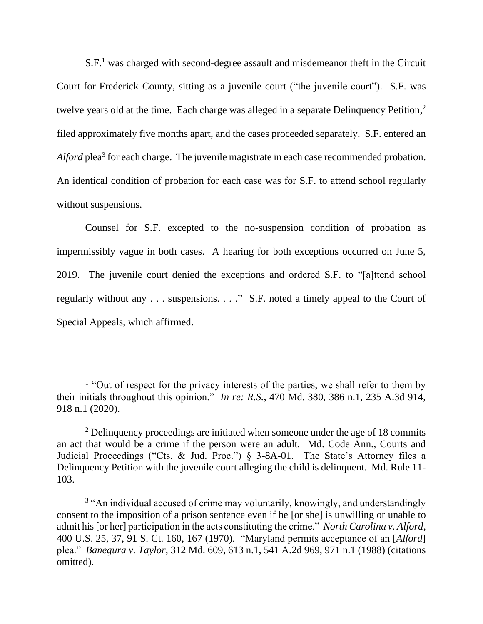$S.F.<sup>1</sup>$  was charged with second-degree assault and misdemeanor theft in the Circuit Court for Frederick County, sitting as a juvenile court ("the juvenile court"). S.F. was twelve years old at the time. Each charge was alleged in a separate Delinquency Petition,<sup>2</sup> filed approximately five months apart, and the cases proceeded separately. S.F. entered an Alford plea<sup>3</sup> for each charge. The juvenile magistrate in each case recommended probation. An identical condition of probation for each case was for S.F. to attend school regularly without suspensions.

Counsel for S.F. excepted to the no-suspension condition of probation as impermissibly vague in both cases. A hearing for both exceptions occurred on June 5, 2019. The juvenile court denied the exceptions and ordered S.F. to "[a]ttend school regularly without any . . . suspensions. . . ." S.F. noted a timely appeal to the Court of Special Appeals, which affirmed.

<sup>&</sup>lt;sup>1</sup> "Out of respect for the privacy interests of the parties, we shall refer to them by their initials throughout this opinion." *In re: R.S.*, 470 Md. 380, 386 n.1, 235 A.3d 914, 918 n.1 (2020).

<sup>&</sup>lt;sup>2</sup> Delinquency proceedings are initiated when someone under the age of 18 commits an act that would be a crime if the person were an adult. Md. Code Ann., Courts and Judicial Proceedings ("Cts. & Jud. Proc.") § 3-8A-01. The State's Attorney files a Delinquency Petition with the juvenile court alleging the child is delinquent. Md. Rule 11- 103.

<sup>&</sup>lt;sup>3</sup> "An individual accused of crime may voluntarily, knowingly, and understandingly consent to the imposition of a prison sentence even if he [or she] is unwilling or unable to admit his [or her] participation in the acts constituting the crime." *North Carolina v. Alford*, 400 U.S. 25, 37, 91 S. Ct. 160, 167 (1970). "Maryland permits acceptance of an [*Alford*] plea." *Banegura v. Taylor*, 312 Md. 609, 613 n.1, 541 A.2d 969, 971 n.1 (1988) (citations omitted).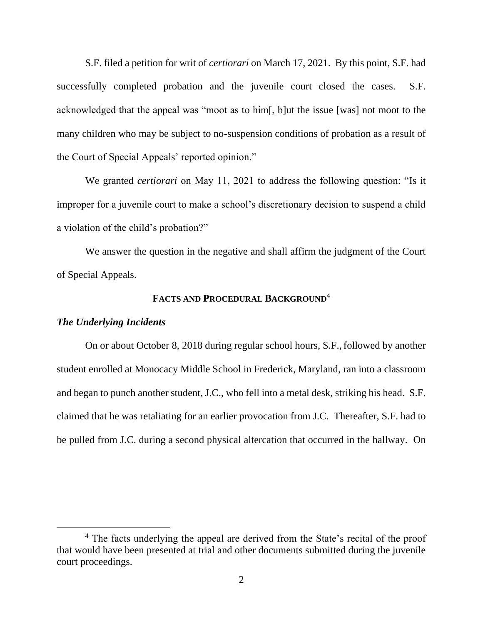S.F. filed a petition for writ of *certiorari* on March 17, 2021. By this point, S.F. had successfully completed probation and the juvenile court closed the cases. S.F. acknowledged that the appeal was "moot as to him[, b]ut the issue [was] not moot to the many children who may be subject to no-suspension conditions of probation as a result of the Court of Special Appeals' reported opinion."

We granted *certiorari* on May 11, 2021 to address the following question: "Is it improper for a juvenile court to make a school's discretionary decision to suspend a child a violation of the child's probation?"

We answer the question in the negative and shall affirm the judgment of the Court of Special Appeals.

#### **FACTS AND PROCEDURAL BACKGROUND**<sup>4</sup>

#### *The Underlying Incidents*

On or about October 8, 2018 during regular school hours, S.F.,followed by another student enrolled at Monocacy Middle School in Frederick, Maryland, ran into a classroom and began to punch another student, J.C., who fell into a metal desk, striking his head. S.F. claimed that he was retaliating for an earlier provocation from J.C. Thereafter, S.F. had to be pulled from J.C. during a second physical altercation that occurred in the hallway. On

<sup>&</sup>lt;sup>4</sup> The facts underlying the appeal are derived from the State's recital of the proof that would have been presented at trial and other documents submitted during the juvenile court proceedings.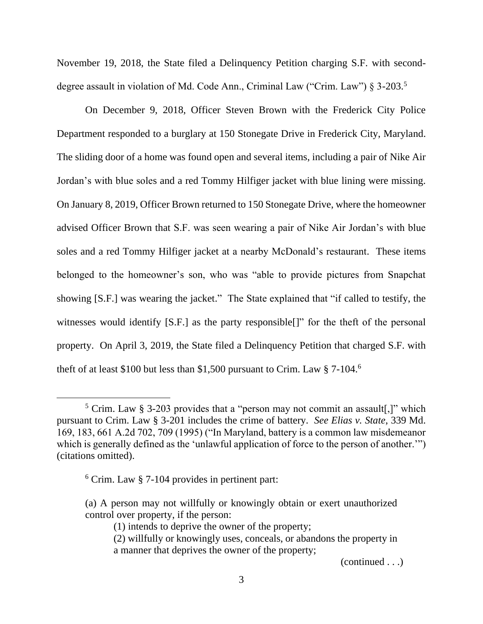November 19, 2018, the State filed a Delinquency Petition charging S.F. with seconddegree assault in violation of Md. Code Ann., Criminal Law ("Crim. Law") § 3-203.<sup>5</sup>

On December 9, 2018, Officer Steven Brown with the Frederick City Police Department responded to a burglary at 150 Stonegate Drive in Frederick City, Maryland. The sliding door of a home was found open and several items, including a pair of Nike Air Jordan's with blue soles and a red Tommy Hilfiger jacket with blue lining were missing. On January 8, 2019, Officer Brown returned to 150 Stonegate Drive, where the homeowner advised Officer Brown that S.F. was seen wearing a pair of Nike Air Jordan's with blue soles and a red Tommy Hilfiger jacket at a nearby McDonald's restaurant. These items belonged to the homeowner's son, who was "able to provide pictures from Snapchat showing [S.F.] was wearing the jacket." The State explained that "if called to testify, the witnesses would identify [S.F.] as the party responsible<sup>[]"</sup> for the theft of the personal property. On April 3, 2019, the State filed a Delinquency Petition that charged S.F. with theft of at least \$100 but less than \$1,500 pursuant to Crim. Law  $§ 7-104.$ <sup>6</sup>

(continued . . .)

<sup>&</sup>lt;sup>5</sup> Crim. Law § 3-203 provides that a "person may not commit an assault[,]" which pursuant to Crim. Law § 3-201 includes the crime of battery. *See Elias v. State*, 339 Md. 169, 183, 661 A.2d 702, 709 (1995) ("In Maryland, battery is a common law misdemeanor which is generally defined as the 'unlawful application of force to the person of another.'") (citations omitted).

 $6$  Crim. Law  $\S$  7-104 provides in pertinent part:

<sup>(</sup>a) A person may not willfully or knowingly obtain or exert unauthorized control over property, if the person:

<sup>(1)</sup> intends to deprive the owner of the property;

<sup>(2)</sup> willfully or knowingly uses, conceals, or abandons the property in a manner that deprives the owner of the property;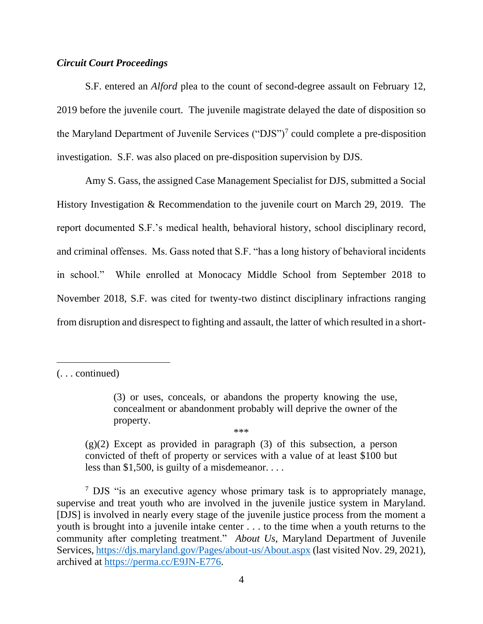### *Circuit Court Proceedings*

S.F. entered an *Alford* plea to the count of second-degree assault on February 12, 2019 before the juvenile court. The juvenile magistrate delayed the date of disposition so the Maryland Department of Juvenile Services ("DJS")<sup>7</sup> could complete a pre-disposition investigation. S.F. was also placed on pre-disposition supervision by DJS.

Amy S. Gass, the assigned Case Management Specialist for DJS, submitted a Social History Investigation & Recommendation to the juvenile court on March 29, 2019. The report documented S.F.'s medical health, behavioral history, school disciplinary record, and criminal offenses. Ms. Gass noted that S.F. "has a long history of behavioral incidents in school." While enrolled at Monocacy Middle School from September 2018 to November 2018, S.F. was cited for twenty-two distinct disciplinary infractions ranging from disruption and disrespect to fighting and assault, the latter of which resulted in a short-

 $(g)(2)$  Except as provided in paragraph (3) of this subsection, a person convicted of theft of property or services with a value of at least \$100 but less than \$1,500, is guilty of a misdemeanor. . . .

\*\*\*

<sup>7</sup> DJS "is an executive agency whose primary task is to appropriately manage, supervise and treat youth who are involved in the juvenile justice system in Maryland. [DJS] is involved in nearly every stage of the juvenile justice process from the moment a youth is brought into a juvenile intake center . . . to the time when a youth returns to the community after completing treatment." *About Us*, Maryland Department of Juvenile Services,<https://djs.maryland.gov/Pages/about-us/About.aspx> (last visited Nov. 29, 2021), archived at [https://perma.cc/E9JN-E776.](https://perma.cc/E9JN-E776)

<sup>(. . .</sup> continued)

<sup>(3)</sup> or uses, conceals, or abandons the property knowing the use, concealment or abandonment probably will deprive the owner of the property.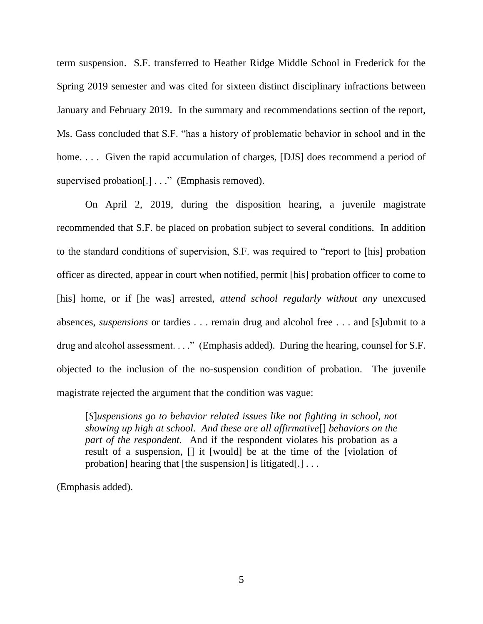term suspension. S.F. transferred to Heather Ridge Middle School in Frederick for the Spring 2019 semester and was cited for sixteen distinct disciplinary infractions between January and February 2019. In the summary and recommendations section of the report, Ms. Gass concluded that S.F. "has a history of problematic behavior in school and in the home.... Given the rapid accumulation of charges, [DJS] does recommend a period of supervised probation[.] . . ." (Emphasis removed).

On April 2, 2019, during the disposition hearing, a juvenile magistrate recommended that S.F. be placed on probation subject to several conditions. In addition to the standard conditions of supervision, S.F. was required to "report to [his] probation officer as directed, appear in court when notified, permit [his] probation officer to come to [his] home, or if [he was] arrested, *attend school regularly without any* unexcused absences, *suspensions* or tardies . . . remain drug and alcohol free . . . and [s]ubmit to a drug and alcohol assessment. . . ." (Emphasis added). During the hearing, counsel for S.F. objected to the inclusion of the no-suspension condition of probation. The juvenile magistrate rejected the argument that the condition was vague:

[*S*]*uspensions go to behavior related issues like not fighting in school, not showing up high at school. And these are all affirmative*[] *behaviors on the part of the respondent.* And if the respondent violates his probation as a result of a suspension, [] it [would] be at the time of the [violation of probation] hearing that [the suspension] is litigated[.] . . .

(Emphasis added).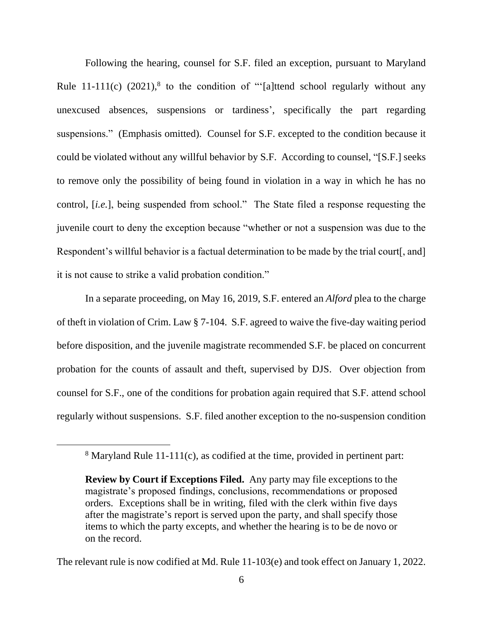Following the hearing, counsel for S.F. filed an exception, pursuant to Maryland Rule  $11-111(c)$  (2021),<sup>8</sup> to the condition of "'[a]ttend school regularly without any unexcused absences, suspensions or tardiness', specifically the part regarding suspensions." (Emphasis omitted). Counsel for S.F. excepted to the condition because it could be violated without any willful behavior by S.F. According to counsel, "[S.F.] seeks to remove only the possibility of being found in violation in a way in which he has no control, [*i.e.*], being suspended from school." The State filed a response requesting the juvenile court to deny the exception because "whether or not a suspension was due to the Respondent's willful behavior is a factual determination to be made by the trial court. and it is not cause to strike a valid probation condition."

In a separate proceeding, on May 16, 2019, S.F. entered an *Alford* plea to the charge of theft in violation of Crim. Law § 7-104. S.F. agreed to waive the five-day waiting period before disposition, and the juvenile magistrate recommended S.F. be placed on concurrent probation for the counts of assault and theft, supervised by DJS. Over objection from counsel for S.F., one of the conditions for probation again required that S.F. attend school regularly without suspensions. S.F. filed another exception to the no-suspension condition

<sup>8</sup> Maryland Rule 11-111(c), as codified at the time, provided in pertinent part:

**Review by Court if Exceptions Filed.** Any party may file exceptions to the magistrate's proposed findings, conclusions, recommendations or proposed orders. Exceptions shall be in writing, filed with the clerk within five days after the magistrate's report is served upon the party, and shall specify those items to which the party excepts, and whether the hearing is to be de novo or on the record.

The relevant rule is now codified at Md. Rule 11-103(e) and took effect on January 1, 2022.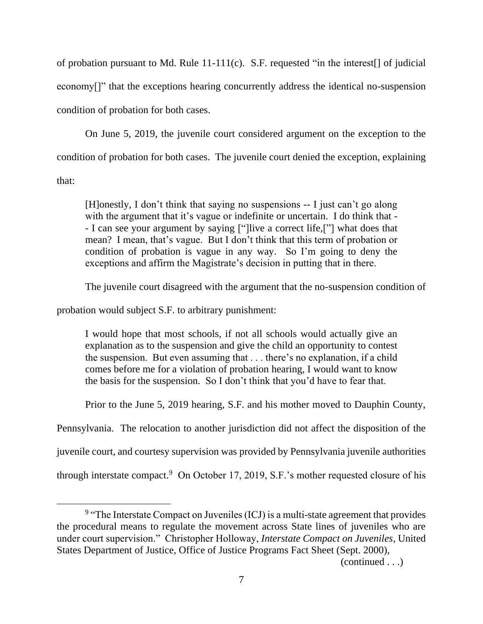of probation pursuant to Md. Rule 11-111(c). S.F. requested "in the interest[] of judicial economy[]" that the exceptions hearing concurrently address the identical no-suspension condition of probation for both cases.

On June 5, 2019, the juvenile court considered argument on the exception to the condition of probation for both cases. The juvenile court denied the exception, explaining that:

[H]onestly, I don't think that saying no suspensions -- I just can't go along with the argument that it's vague or indefinite or uncertain. I do think that -- I can see your argument by saying ["]live a correct life,["] what does that mean? I mean, that's vague. But I don't think that this term of probation or condition of probation is vague in any way. So I'm going to deny the exceptions and affirm the Magistrate's decision in putting that in there.

The juvenile court disagreed with the argument that the no-suspension condition of

probation would subject S.F. to arbitrary punishment:

I would hope that most schools, if not all schools would actually give an explanation as to the suspension and give the child an opportunity to contest the suspension. But even assuming that . . . there's no explanation, if a child comes before me for a violation of probation hearing, I would want to know the basis for the suspension. So I don't think that you'd have to fear that.

Prior to the June 5, 2019 hearing, S.F. and his mother moved to Dauphin County,

Pennsylvania. The relocation to another jurisdiction did not affect the disposition of the

juvenile court, and courtesy supervision was provided by Pennsylvania juvenile authorities

through interstate compact.<sup>9</sup> On October 17, 2019, S.F.'s mother requested closure of his

<sup>&</sup>lt;sup>9</sup> "The Interstate Compact on Juveniles (ICJ) is a multi-state agreement that provides the procedural means to regulate the movement across State lines of juveniles who are under court supervision." Christopher Holloway, *Interstate Compact on Juveniles*, United States Department of Justice, Office of Justice Programs Fact Sheet (Sept. 2000),

<sup>(</sup>continued . . .)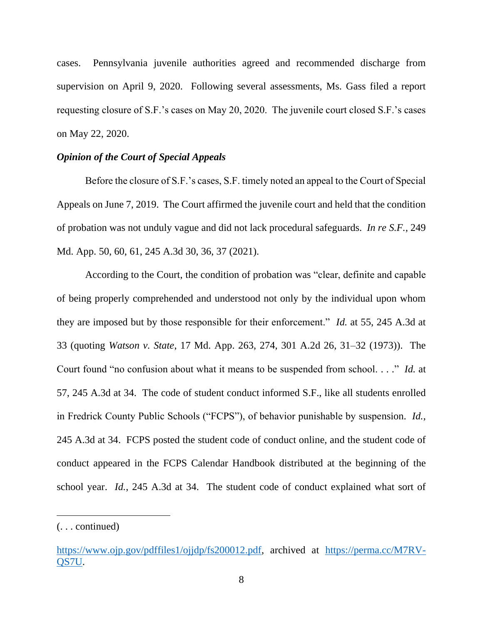cases. Pennsylvania juvenile authorities agreed and recommended discharge from supervision on April 9, 2020. Following several assessments, Ms. Gass filed a report requesting closure of S.F.'s cases on May 20, 2020. The juvenile court closed S.F.'s cases on May 22, 2020.

### *Opinion of the Court of Special Appeals*

Before the closure of S.F.'s cases, S.F. timely noted an appeal to the Court of Special Appeals on June 7, 2019. The Court affirmed the juvenile court and held that the condition of probation was not unduly vague and did not lack procedural safeguards. *In re S.F.*, 249 Md. App. 50, 60, 61, 245 A.3d 30, 36, 37 (2021).

According to the Court, the condition of probation was "clear, definite and capable of being properly comprehended and understood not only by the individual upon whom they are imposed but by those responsible for their enforcement." *Id.* at 55, 245 A.3d at 33 (quoting *Watson v. State*, 17 Md. App. 263, 274, 301 A.2d 26, 31–32 (1973)). The Court found "no confusion about what it means to be suspended from school. . . ." *Id.* at 57, 245 A.3d at 34. The code of student conduct informed S.F., like all students enrolled in Fredrick County Public Schools ("FCPS"), of behavior punishable by suspension. *Id.*, 245 A.3d at 34.FCPS posted the student code of conduct online, and the student code of conduct appeared in the FCPS Calendar Handbook distributed at the beginning of the school year. *Id.*, 245 A.3d at 34.The student code of conduct explained what sort of

<sup>(. . .</sup> continued)

[https://www.ojp.gov/pdffiles1/ojjdp/fs200012.pdf,](https://www.ojp.gov/pdffiles1/ojjdp/fs200012.pdf) archived at [https://perma.cc/M7RV-](https://perma.cc/M7RV-QS7U)[QS7U.](https://perma.cc/M7RV-QS7U)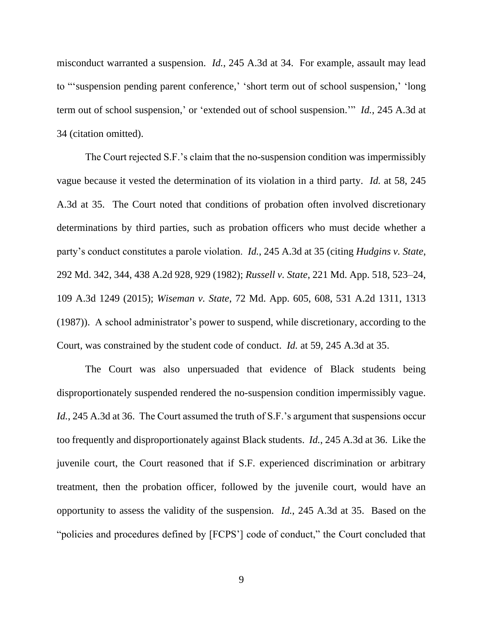misconduct warranted a suspension. *Id.*, 245 A.3d at 34. For example, assault may lead to "'suspension pending parent conference,' 'short term out of school suspension,' 'long term out of school suspension,' or 'extended out of school suspension.'" *Id.*, 245 A.3d at 34 (citation omitted).

The Court rejected S.F.'s claim that the no-suspension condition was impermissibly vague because it vested the determination of its violation in a third party. *Id.* at 58, 245 A.3d at 35. The Court noted that conditions of probation often involved discretionary determinations by third parties, such as probation officers who must decide whether a party's conduct constitutes a parole violation. *Id.*, 245 A.3d at 35 (citing *Hudgins v. State*, 292 Md. 342, 344, 438 A.2d 928, 929 (1982); *Russell v. State*, 221 Md. App. 518, 523–24, 109 A.3d 1249 (2015); *Wiseman v. State*, 72 Md. App. 605, 608, 531 A.2d 1311, 1313 (1987)). A school administrator's power to suspend, while discretionary, according to the Court, was constrained by the student code of conduct. *Id.* at 59, 245 A.3d at 35.

The Court was also unpersuaded that evidence of Black students being disproportionately suspended rendered the no-suspension condition impermissibly vague. Id., 245 A.3d at 36. The Court assumed the truth of S.F.'s argument that suspensions occur too frequently and disproportionately against Black students. *Id.*, 245 A.3d at 36. Like the juvenile court, the Court reasoned that if S.F. experienced discrimination or arbitrary treatment, then the probation officer, followed by the juvenile court, would have an opportunity to assess the validity of the suspension. *Id.*, 245 A.3d at 35. Based on the "policies and procedures defined by [FCPS'] code of conduct," the Court concluded that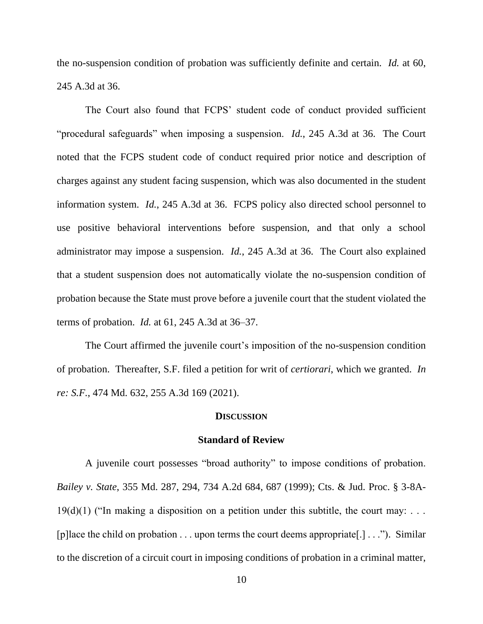the no-suspension condition of probation was sufficiently definite and certain. *Id.* at 60, 245 A.3d at 36.

The Court also found that FCPS' student code of conduct provided sufficient "procedural safeguards" when imposing a suspension. *Id.*, 245 A.3d at 36. The Court noted that the FCPS student code of conduct required prior notice and description of charges against any student facing suspension, which was also documented in the student information system. *Id.*, 245 A.3d at 36. FCPS policy also directed school personnel to use positive behavioral interventions before suspension, and that only a school administrator may impose a suspension. *Id.*, 245 A.3d at 36. The Court also explained that a student suspension does not automatically violate the no-suspension condition of probation because the State must prove before a juvenile court that the student violated the terms of probation. *Id.* at 61, 245 A.3d at 36–37.

The Court affirmed the juvenile court's imposition of the no-suspension condition of probation. Thereafter, S.F. filed a petition for writ of *certiorari*, which we granted. *In re: S.F.*, 474 Md. 632, 255 A.3d 169 (2021).

#### **DISCUSSION**

#### **Standard of Review**

A juvenile court possesses "broad authority" to impose conditions of probation. *Bailey v. State*, 355 Md. 287, 294, 734 A.2d 684, 687 (1999); Cts. & Jud. Proc. § 3-8A- $19(d)(1)$  ("In making a disposition on a petition under this subtitle, the court may: ... [p] [p] [ace the child on probation  $\dots$  upon terms the court deems appropriate [.]  $\dots$ "). Similar to the discretion of a circuit court in imposing conditions of probation in a criminal matter,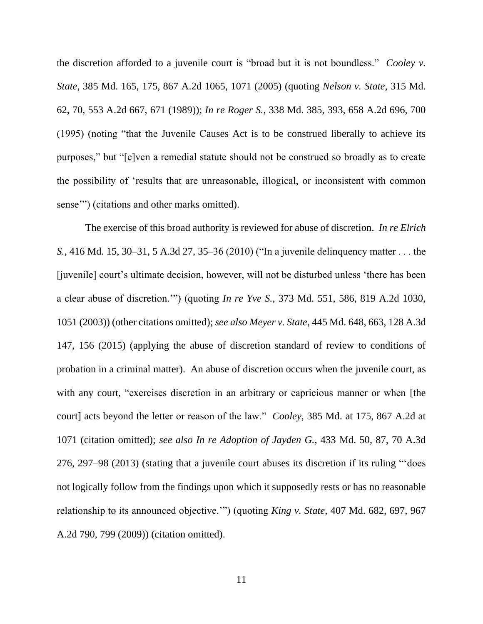the discretion afforded to a juvenile court is "broad but it is not boundless." *Cooley v. State*, 385 Md. 165, 175, 867 A.2d 1065, 1071 (2005) (quoting *Nelson v. State*, 315 Md. 62, 70, 553 A.2d 667, 671 (1989)); *In re Roger S.*, 338 Md. 385, 393, 658 A.2d 696, 700 (1995) (noting "that the Juvenile Causes Act is to be construed liberally to achieve its purposes," but "[e]ven a remedial statute should not be construed so broadly as to create the possibility of 'results that are unreasonable, illogical, or inconsistent with common sense'") (citations and other marks omitted).

The exercise of this broad authority is reviewed for abuse of discretion. *In re Elrich S.*, 416 Md. 15, 30–31, 5 A.3d 27, 35–36 (2010) ("In a juvenile delinquency matter . . . the [juvenile] court's ultimate decision, however, will not be disturbed unless 'there has been a clear abuse of discretion.'") (quoting *In re Yve S.*, 373 Md. 551, 586, 819 A.2d 1030, 1051 (2003)) (other citations omitted); *see also Meyer v. State*, 445 Md. 648, 663, 128 A.3d 147, 156 (2015) (applying the abuse of discretion standard of review to conditions of probation in a criminal matter). An abuse of discretion occurs when the juvenile court, as with any court, "exercises discretion in an arbitrary or capricious manner or when [the court] acts beyond the letter or reason of the law." *Cooley*, 385 Md. at 175, 867 A.2d at 1071 (citation omitted); *see also In re Adoption of Jayden G.*, 433 Md. 50, 87, 70 A.3d 276, 297–98 (2013) (stating that a juvenile court abuses its discretion if its ruling "'does not logically follow from the findings upon which it supposedly rests or has no reasonable relationship to its announced objective.'") (quoting *King v. State*, 407 Md. 682, 697, 967 A.2d 790, 799 (2009)) (citation omitted).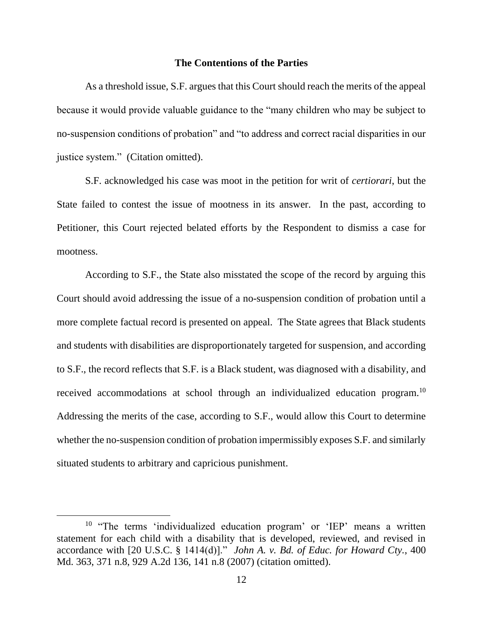#### **The Contentions of the Parties**

As a threshold issue, S.F. argues that this Court should reach the merits of the appeal because it would provide valuable guidance to the "many children who may be subject to no-suspension conditions of probation" and "to address and correct racial disparities in our justice system." (Citation omitted).

S.F. acknowledged his case was moot in the petition for writ of *certiorari*, but the State failed to contest the issue of mootness in its answer. In the past, according to Petitioner, this Court rejected belated efforts by the Respondent to dismiss a case for mootness.

According to S.F., the State also misstated the scope of the record by arguing this Court should avoid addressing the issue of a no-suspension condition of probation until a more complete factual record is presented on appeal. The State agrees that Black students and students with disabilities are disproportionately targeted for suspension, and according to S.F., the record reflects that S.F. is a Black student, was diagnosed with a disability, and received accommodations at school through an individualized education program.<sup>10</sup> Addressing the merits of the case, according to S.F., would allow this Court to determine whether the no-suspension condition of probation impermissibly exposes S.F. and similarly situated students to arbitrary and capricious punishment.

<sup>&</sup>lt;sup>10</sup> "The terms 'individualized education program' or 'IEP' means a written statement for each child with a disability that is developed, reviewed, and revised in accordance with [20 U.S.C. § 1414(d)]." *John A. v. Bd. of Educ. for Howard Cty.*, 400 Md. 363, 371 n.8, 929 A.2d 136, 141 n.8 (2007) (citation omitted).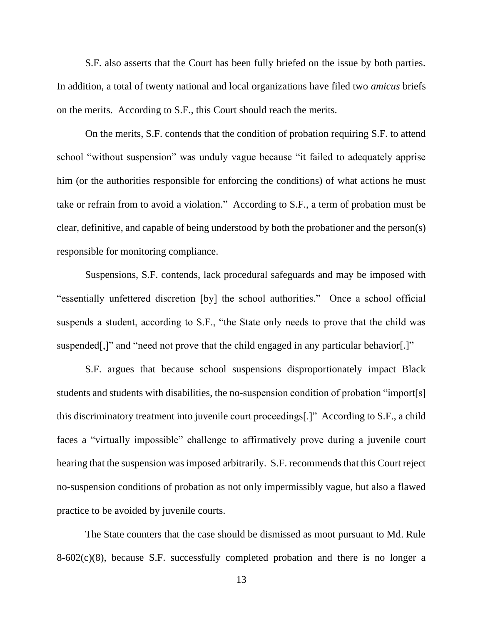S.F. also asserts that the Court has been fully briefed on the issue by both parties. In addition, a total of twenty national and local organizations have filed two *amicus* briefs on the merits. According to S.F., this Court should reach the merits.

On the merits, S.F. contends that the condition of probation requiring S.F. to attend school "without suspension" was unduly vague because "it failed to adequately apprise him (or the authorities responsible for enforcing the conditions) of what actions he must take or refrain from to avoid a violation." According to S.F., a term of probation must be clear, definitive, and capable of being understood by both the probationer and the person(s) responsible for monitoring compliance.

Suspensions, S.F. contends, lack procedural safeguards and may be imposed with "essentially unfettered discretion [by] the school authorities." Once a school official suspends a student, according to S.F., "the State only needs to prove that the child was suspended[,]" and "need not prove that the child engaged in any particular behavior[.]"

S.F. argues that because school suspensions disproportionately impact Black students and students with disabilities, the no-suspension condition of probation "import[s] this discriminatory treatment into juvenile court proceedings[.]" According to S.F., a child faces a "virtually impossible" challenge to affirmatively prove during a juvenile court hearing that the suspension was imposed arbitrarily. S.F. recommends that this Court reject no-suspension conditions of probation as not only impermissibly vague, but also a flawed practice to be avoided by juvenile courts.

The State counters that the case should be dismissed as moot pursuant to Md. Rule 8-602(c)(8), because S.F. successfully completed probation and there is no longer a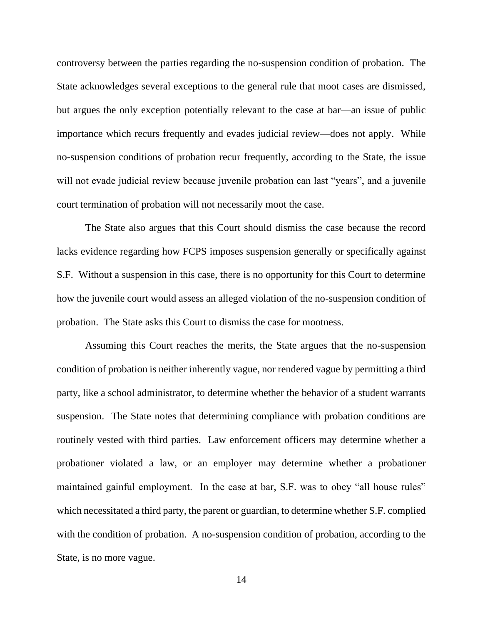controversy between the parties regarding the no-suspension condition of probation. The State acknowledges several exceptions to the general rule that moot cases are dismissed, but argues the only exception potentially relevant to the case at bar—an issue of public importance which recurs frequently and evades judicial review—does not apply. While no-suspension conditions of probation recur frequently, according to the State, the issue will not evade judicial review because juvenile probation can last "years", and a juvenile court termination of probation will not necessarily moot the case.

The State also argues that this Court should dismiss the case because the record lacks evidence regarding how FCPS imposes suspension generally or specifically against S.F. Without a suspension in this case, there is no opportunity for this Court to determine how the juvenile court would assess an alleged violation of the no-suspension condition of probation. The State asks this Court to dismiss the case for mootness.

Assuming this Court reaches the merits, the State argues that the no-suspension condition of probation is neither inherently vague, nor rendered vague by permitting a third party, like a school administrator, to determine whether the behavior of a student warrants suspension. The State notes that determining compliance with probation conditions are routinely vested with third parties. Law enforcement officers may determine whether a probationer violated a law, or an employer may determine whether a probationer maintained gainful employment. In the case at bar, S.F. was to obey "all house rules" which necessitated a third party, the parent or guardian, to determine whether S.F. complied with the condition of probation. A no-suspension condition of probation, according to the State, is no more vague.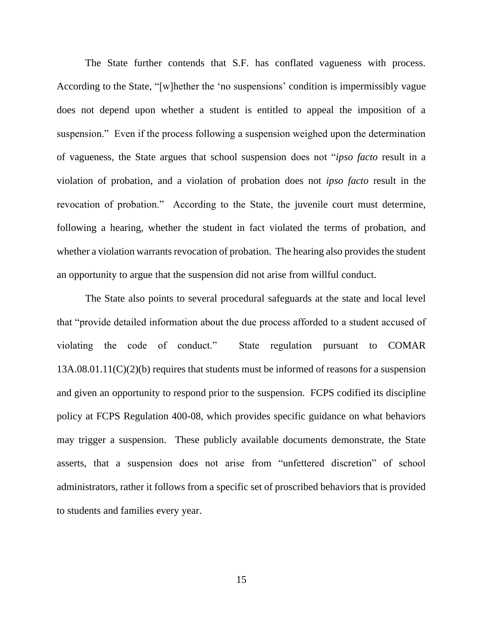The State further contends that S.F. has conflated vagueness with process. According to the State, "[w]hether the 'no suspensions' condition is impermissibly vague does not depend upon whether a student is entitled to appeal the imposition of a suspension." Even if the process following a suspension weighed upon the determination of vagueness, the State argues that school suspension does not "*ipso facto* result in a violation of probation, and a violation of probation does not *ipso facto* result in the revocation of probation." According to the State, the juvenile court must determine, following a hearing, whether the student in fact violated the terms of probation, and whether a violation warrants revocation of probation. The hearing also provides the student an opportunity to argue that the suspension did not arise from willful conduct.

The State also points to several procedural safeguards at the state and local level that "provide detailed information about the due process afforded to a student accused of violating the code of conduct." State regulation pursuant to COMAR 13A.08.01.11(C)(2)(b) requires that students must be informed of reasons for a suspension and given an opportunity to respond prior to the suspension. FCPS codified its discipline policy at FCPS Regulation 400-08, which provides specific guidance on what behaviors may trigger a suspension. These publicly available documents demonstrate, the State asserts, that a suspension does not arise from "unfettered discretion" of school administrators, rather it follows from a specific set of proscribed behaviors that is provided to students and families every year.

15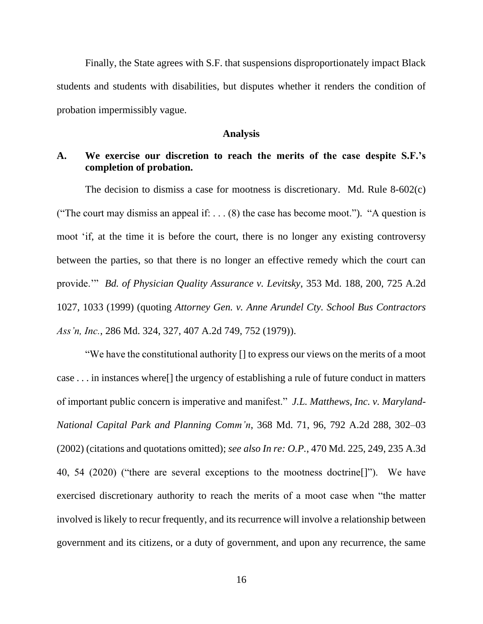Finally, the State agrees with S.F. that suspensions disproportionately impact Black students and students with disabilities, but disputes whether it renders the condition of probation impermissibly vague.

#### **Analysis**

# **A. We exercise our discretion to reach the merits of the case despite S.F.'s completion of probation.**

The decision to dismiss a case for mootness is discretionary. Md. Rule 8-602(c) ("The court may dismiss an appeal if: . . . (8) the case has become moot."). "A question is moot 'if, at the time it is before the court, there is no longer any existing controversy between the parties, so that there is no longer an effective remedy which the court can provide.'" *Bd. of Physician Quality Assurance v. Levitsky*, 353 Md. 188, 200, 725 A.2d 1027, 1033 (1999) (quoting *Attorney Gen. v. Anne Arundel Cty. School Bus Contractors Ass'n, Inc.*, 286 Md. 324, 327, 407 A.2d 749, 752 (1979)).

"We have the constitutional authority [] to express our views on the merits of a moot case . . . in instances where[] the urgency of establishing a rule of future conduct in matters of important public concern is imperative and manifest." *J.L. Matthews, Inc. v. Maryland-National Capital Park and Planning Comm'n*, 368 Md. 71, 96, 792 A.2d 288, 302–03 (2002) (citations and quotations omitted); *see also In re: O.P.*, 470 Md. 225, 249, 235 A.3d 40, 54 (2020) ("there are several exceptions to the mootness doctrine[]"). We have exercised discretionary authority to reach the merits of a moot case when "the matter involved is likely to recur frequently, and its recurrence will involve a relationship between government and its citizens, or a duty of government, and upon any recurrence, the same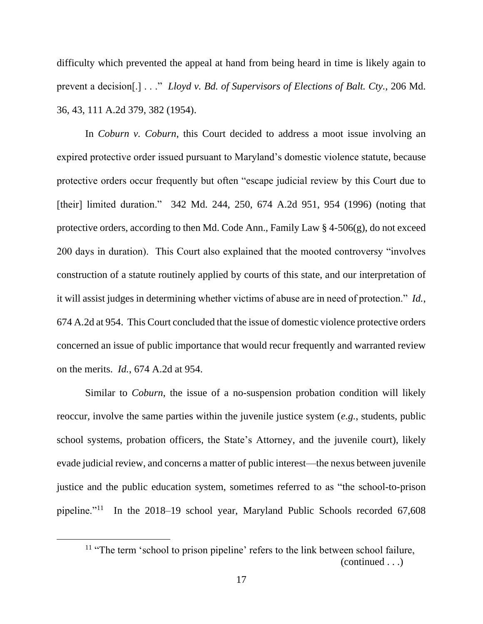difficulty which prevented the appeal at hand from being heard in time is likely again to prevent a decision[.] . . ." *Lloyd v. Bd. of Supervisors of Elections of Balt. Cty.*, 206 Md. 36, 43, 111 A.2d 379, 382 (1954).

In *Coburn v. Coburn*, this Court decided to address a moot issue involving an expired protective order issued pursuant to Maryland's domestic violence statute, because protective orders occur frequently but often "escape judicial review by this Court due to [their] limited duration." 342 Md. 244, 250, 674 A.2d 951, 954 (1996) (noting that protective orders, according to then Md. Code Ann., Family Law § 4-506(g), do not exceed 200 days in duration). This Court also explained that the mooted controversy "involves construction of a statute routinely applied by courts of this state, and our interpretation of it will assist judges in determining whether victims of abuse are in need of protection." *Id.*, 674 A.2d at 954. This Court concluded that the issue of domestic violence protective orders concerned an issue of public importance that would recur frequently and warranted review on the merits. *Id.*, 674 A.2d at 954.

Similar to *Coburn*, the issue of a no-suspension probation condition will likely reoccur, involve the same parties within the juvenile justice system (*e.g.*, students, public school systems, probation officers, the State's Attorney, and the juvenile court), likely evade judicial review, and concerns a matter of public interest—the nexus between juvenile justice and the public education system, sometimes referred to as "the school-to-prison pipeline."<sup>11</sup> In the 2018–19 school year, Maryland Public Schools recorded 67,608

<sup>&</sup>lt;sup>11</sup> "The term 'school to prison pipeline' refers to the link between school failure, (continued . . .)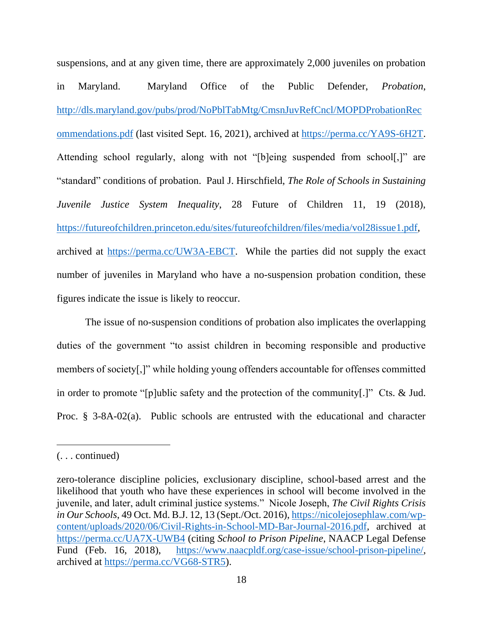suspensions, and at any given time, there are approximately 2,000 juveniles on probation in Maryland. Maryland Office of the Public Defender, *Probation*, [http://dls.maryland.gov/pubs/prod/NoPblTabMtg/CmsnJuvRefCncl/MOPDProbationRec](http://dls.maryland.gov/pubs/prod/NoPblTabMtg/CmsnJuvRefCncl/MOPDProbationRecommendations.pdf) [ommendations.pdf](http://dls.maryland.gov/pubs/prod/NoPblTabMtg/CmsnJuvRefCncl/MOPDProbationRecommendations.pdf) (last visited Sept. 16, 2021), archived at [https://perma.cc/YA9S-6H2T.](https://perma.cc/YA9S-6H2T) Attending school regularly, along with not "[b]eing suspended from school[,]" are "standard" conditions of probation. Paul J. Hirschfield, *The Role of Schools in Sustaining Juvenile Justice System Inequality*, 28 Future of Children 11, 19 (2018), [https://futureofchildren.princeton.edu/sites/futureofchildren/files/media/vol28issue1.pdf,](https://futureofchildren.princeton.edu/sites/futureofchildren/files/media/vol28issue1.pdf) archived at [https://perma.cc/UW3A-EBCT.](https://perma.cc/UW3A-EBCT)While the parties did not supply the exact number of juveniles in Maryland who have a no-suspension probation condition, these figures indicate the issue is likely to reoccur.

The issue of no-suspension conditions of probation also implicates the overlapping duties of the government "to assist children in becoming responsible and productive members of society[,]" while holding young offenders accountable for offenses committed in order to promote "[p]ublic safety and the protection of the community[.]" Cts. & Jud. Proc. § 3-8A-02(a). Public schools are entrusted with the educational and character

<sup>(. . .</sup> continued)

zero-tolerance discipline policies, exclusionary discipline, school-based arrest and the likelihood that youth who have these experiences in school will become involved in the juvenile, and later, adult criminal justice systems." Nicole Joseph, *The Civil Rights Crisis in Our Schools*, 49 Oct. Md. B.J. 12, 13 (Sept./Oct. 2016), [https://nicolejosephlaw.com/wp](https://nicolejosephlaw.com/wp-content/uploads/2020/06/Civil-Rights-in-School-MD-Bar-Journal-2016.pdf)[content/uploads/2020/06/Civil-Rights-in-School-MD-Bar-Journal-2016.pdf,](https://nicolejosephlaw.com/wp-content/uploads/2020/06/Civil-Rights-in-School-MD-Bar-Journal-2016.pdf) archived at <https://perma.cc/UA7X-UWB4> (citing *School to Prison Pipeline*, NAACP Legal Defense Fund (Feb. 16, 2018), [https://www.naacpldf.org/case-issue/school-prison-pipeline/,](https://www.naacpldf.org/case-issue/school-prison-pipeline/) archived at [https://perma.cc/VG68-STR5\)](https://perma.cc/VG68-STR5).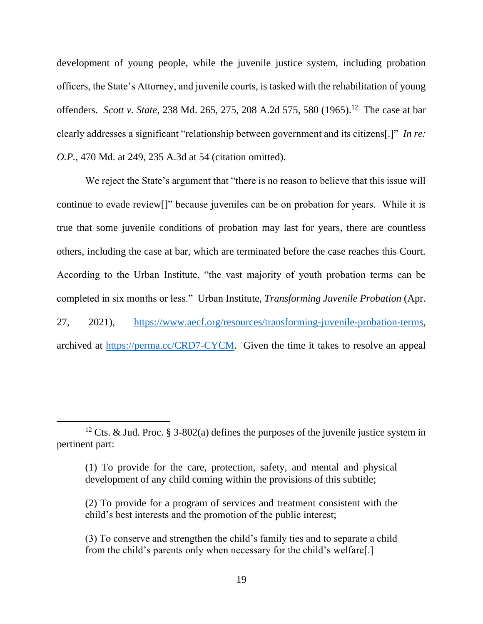development of young people, while the juvenile justice system, including probation officers, the State's Attorney, and juvenile courts, is tasked with the rehabilitation of young offenders. *Scott v. State*, 238 Md. 265, 275, 208 A.2d 575, 580 (1965). 12 The case at bar clearly addresses a significant "relationship between government and its citizens[.]" *In re: O.P.*, 470 Md. at 249, 235 A.3d at 54 (citation omitted).

We reject the State's argument that "there is no reason to believe that this issue will continue to evade review[]" because juveniles can be on probation for years. While it is true that some juvenile conditions of probation may last for years, there are countless others, including the case at bar, which are terminated before the case reaches this Court. According to the Urban Institute, "the vast majority of youth probation terms can be completed in six months or less." Urban Institute, *Transforming Juvenile Probation* (Apr. 27, 2021), [https://www.aecf.org/resources/transforming-juvenile-probation-terms,](https://www.aecf.org/resources/transforming-juvenile-probation-terms) archived at [https://perma.cc/CRD7-CYCM.](https://perma.cc/CRD7-CYCM) Given the time it takes to resolve an appeal

<sup>&</sup>lt;sup>12</sup> Cts. & Jud. Proc. § 3-802(a) defines the purposes of the juvenile justice system in pertinent part:

<sup>(1)</sup> To provide for the care, protection, safety, and mental and physical development of any child coming within the provisions of this subtitle;

<sup>(2)</sup> To provide for a program of services and treatment consistent with the child's best interests and the promotion of the public interest;

<sup>(3)</sup> To conserve and strengthen the child's family ties and to separate a child from the child's parents only when necessary for the child's welfare[.]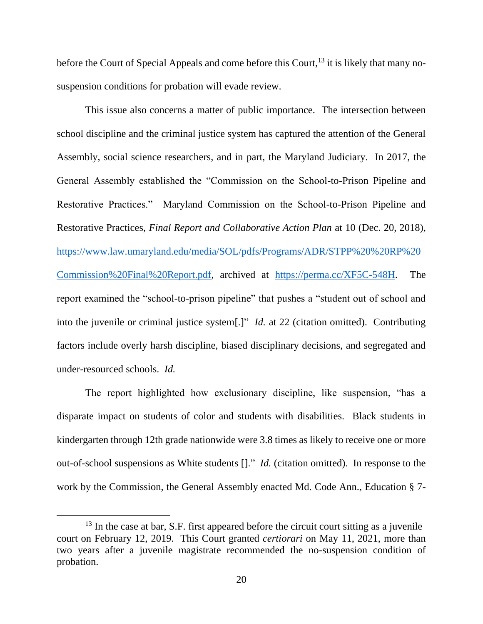before the Court of Special Appeals and come before this Court,  $^{13}$  it is likely that many nosuspension conditions for probation will evade review.

This issue also concerns a matter of public importance. The intersection between school discipline and the criminal justice system has captured the attention of the General Assembly, social science researchers, and in part, the Maryland Judiciary. In 2017, the General Assembly established the "Commission on the School-to-Prison Pipeline and Restorative Practices." Maryland Commission on the School-to-Prison Pipeline and Restorative Practices, *Final Report and Collaborative Action Plan* at 10 (Dec. 20, 2018), [https://www.law.umaryland.edu/media/SOL/pdfs/Programs/ADR/STPP%20%20RP%20](https://www.law.umaryland.edu/media/SOL/pdfs/Programs/ADR/STPP%20%20RP%20Commission%20Final%20Report.pdf) [Commission%20Final%20Report.pdf,](https://www.law.umaryland.edu/media/SOL/pdfs/Programs/ADR/STPP%20%20RP%20Commission%20Final%20Report.pdf) archived at [https://perma.cc/XF5C-548H.](https://perma.cc/XF5C-548H) The report examined the "school-to-prison pipeline" that pushes a "student out of school and into the juvenile or criminal justice system[.]" *Id.* at 22 (citation omitted). Contributing factors include overly harsh discipline, biased disciplinary decisions, and segregated and under-resourced schools. *Id.* 

The report highlighted how exclusionary discipline, like suspension, "has a disparate impact on students of color and students with disabilities. Black students in kindergarten through 12th grade nationwide were 3.8 times as likely to receive one or more out-of-school suspensions as White students []." *Id.* (citation omitted). In response to the work by the Commission, the General Assembly enacted Md. Code Ann., Education § 7-

<sup>&</sup>lt;sup>13</sup> In the case at bar, S.F. first appeared before the circuit court sitting as a juvenile court on February 12, 2019. This Court granted *certiorari* on May 11, 2021, more than two years after a juvenile magistrate recommended the no-suspension condition of probation.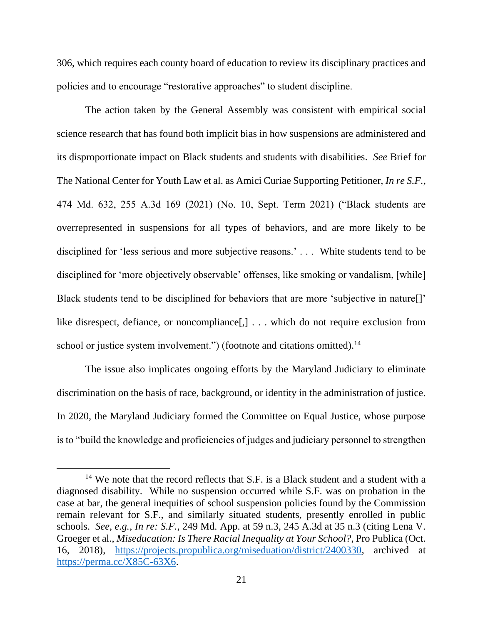306, which requires each county board of education to review its disciplinary practices and policies and to encourage "restorative approaches" to student discipline.

The action taken by the General Assembly was consistent with empirical social science research that has found both implicit bias in how suspensions are administered and its disproportionate impact on Black students and students with disabilities. *See* Brief for The National Center for Youth Law et al. as Amici Curiae Supporting Petitioner, *In re S.F.*, 474 Md. 632, 255 A.3d 169 (2021) (No. 10, Sept. Term 2021) ("Black students are overrepresented in suspensions for all types of behaviors, and are more likely to be disciplined for 'less serious and more subjective reasons.' . . . White students tend to be disciplined for 'more objectively observable' offenses, like smoking or vandalism, [while] Black students tend to be disciplined for behaviors that are more 'subjective in nature[]' like disrespect, defiance, or noncompliance[,] . . . which do not require exclusion from school or justice system involvement.") (footnote and citations omitted).<sup>14</sup>

The issue also implicates ongoing efforts by the Maryland Judiciary to eliminate discrimination on the basis of race, background, or identity in the administration of justice. In 2020, the Maryland Judiciary formed the Committee on Equal Justice, whose purpose is to "build the knowledge and proficiencies of judges and judiciary personnel to strengthen

<sup>&</sup>lt;sup>14</sup> We note that the record reflects that S.F. is a Black student and a student with a diagnosed disability. While no suspension occurred while S.F. was on probation in the case at bar, the general inequities of school suspension policies found by the Commission remain relevant for S.F., and similarly situated students, presently enrolled in public schools. *See, e.g.*, *In re: S.F.*, 249 Md. App. at 59 n.3, 245 A.3d at 35 n.3 (citing Lena V. Groeger et al., *Miseducation: Is There Racial Inequality at Your School?*, Pro Publica (Oct. 16, 2018), [https://projects.propublica.org/miseduation/district/2400330,](https://projects.propublica.org/miseduation/district/2400330) archived at [https://perma.cc/X85C-63X6.](https://perma.cc/X85C-63X6)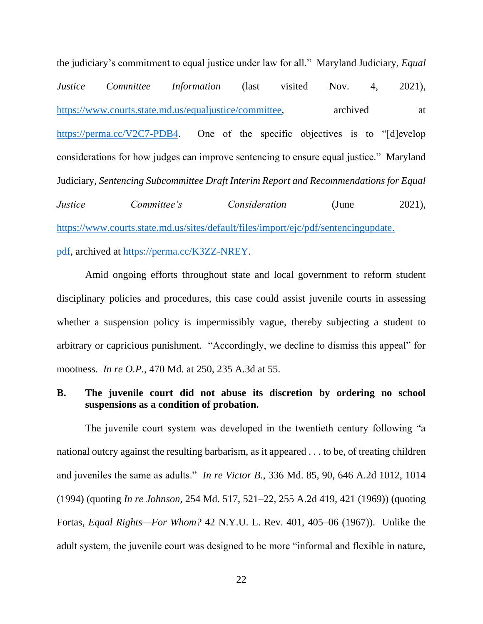the judiciary's commitment to equal justice under law for all." Maryland Judiciary, *Equal Justice Committee Information* (last visited Nov. 4, 2021), [https://www.courts.state.md.us/equaljustice/committee,](https://www.courts.state.md.us/equaljustice/committee) archived at [https://perma.cc/V2C7-PDB4.](https://perma.cc/V2C7-PDB4) One of the specific objectives is to "[d]evelop considerations for how judges can improve sentencing to ensure equal justice." Maryland Judiciary, *Sentencing Subcommittee Draft Interim Report and Recommendations for Equal Justice Committee's Consideration* (June 2021), [https://www.courts.state.md.us/sites/default/files/import/ejc/pdf/sentencingupdate.](https://www.courts.state.md.us/sites/default/files/import/ejc/pdf/sentencingupdate.pdf) [pdf,](https://www.courts.state.md.us/sites/default/files/import/ejc/pdf/sentencingupdate.pdf) archived at [https://perma.cc/K3ZZ-NREY.](https://perma.cc/K3ZZ-NREY)

Amid ongoing efforts throughout state and local government to reform student disciplinary policies and procedures, this case could assist juvenile courts in assessing whether a suspension policy is impermissibly vague, thereby subjecting a student to arbitrary or capricious punishment. "Accordingly, we decline to dismiss this appeal" for mootness. *In re O.P.*, 470 Md. at 250, 235 A.3d at 55.

### **B. The juvenile court did not abuse its discretion by ordering no school suspensions as a condition of probation.**

The juvenile court system was developed in the twentieth century following "a national outcry against the resulting barbarism, as it appeared . . . to be, of treating children and juveniles the same as adults." *In re Victor B.*, 336 Md. 85, 90, 646 A.2d 1012, 1014 (1994) (quoting *In re Johnson*, 254 Md. 517, 521–22, 255 A.2d 419, 421 (1969)) (quoting Fortas, *Equal Rights—For Whom?* 42 N.Y.U. L. Rev. 401, 405–06 (1967)). Unlike the adult system, the juvenile court was designed to be more "informal and flexible in nature,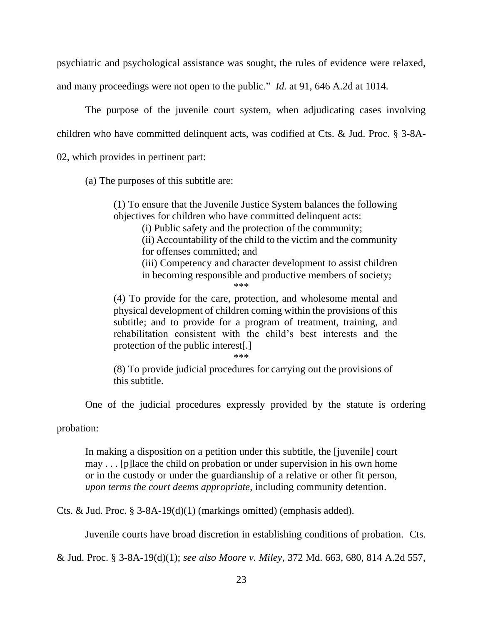psychiatric and psychological assistance was sought, the rules of evidence were relaxed,

and many proceedings were not open to the public." *Id.* at 91, 646 A.2d at 1014.

The purpose of the juvenile court system, when adjudicating cases involving children who have committed delinquent acts, was codified at Cts. & Jud. Proc. § 3-8A-02, which provides in pertinent part:

(a) The purposes of this subtitle are:

(1) To ensure that the Juvenile Justice System balances the following objectives for children who have committed delinquent acts:

(i) Public safety and the protection of the community;

(ii) Accountability of the child to the victim and the community for offenses committed; and

(iii) Competency and character development to assist children in becoming responsible and productive members of society;

\*\*\*

(4) To provide for the care, protection, and wholesome mental and physical development of children coming within the provisions of this subtitle; and to provide for a program of treatment, training, and rehabilitation consistent with the child's best interests and the protection of the public interest[.]

\*\*\*

(8) To provide judicial procedures for carrying out the provisions of this subtitle.

One of the judicial procedures expressly provided by the statute is ordering

probation:

In making a disposition on a petition under this subtitle, the [juvenile] court may . . . [p]lace the child on probation or under supervision in his own home or in the custody or under the guardianship of a relative or other fit person, *upon terms the court deems appropriate*, including community detention.

Cts. & Jud. Proc. § 3-8A-19(d)(1) (markings omitted) (emphasis added).

Juvenile courts have broad discretion in establishing conditions of probation. Cts.

& Jud. Proc. § 3-8A-19(d)(1); *see also Moore v. Miley*, 372 Md. 663, 680, 814 A.2d 557,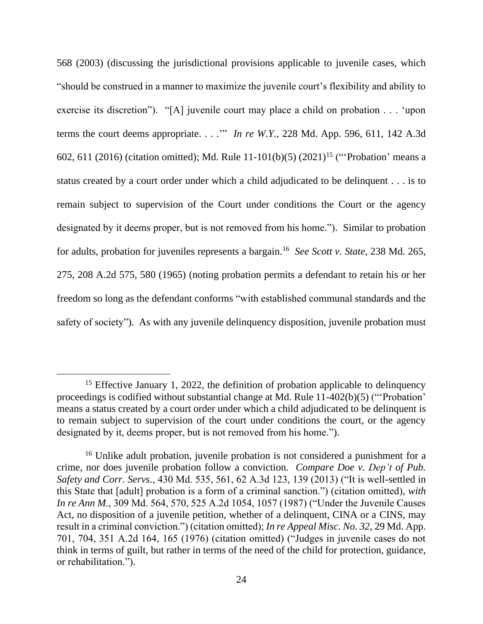568 (2003) (discussing the jurisdictional provisions applicable to juvenile cases, which "should be construed in a manner to maximize the juvenile court's flexibility and ability to exercise its discretion"). "[A] juvenile court may place a child on probation . . . 'upon terms the court deems appropriate. . . .'" *In re W.Y.*, 228 Md. App. 596, 611, 142 A.3d 602, 611 (2016) (citation omitted); Md. Rule 11-101(b)(5) (2021)<sup>15</sup> ("Probation' means a status created by a court order under which a child adjudicated to be delinquent . . . is to remain subject to supervision of the Court under conditions the Court or the agency designated by it deems proper, but is not removed from his home."). Similar to probation for adults, probation for juveniles represents a bargain.<sup>16</sup> *See Scott v. State*, 238 Md. 265, 275, 208 A.2d 575, 580 (1965) (noting probation permits a defendant to retain his or her freedom so long as the defendant conforms "with established communal standards and the safety of society"). As with any juvenile delinquency disposition, juvenile probation must

<sup>&</sup>lt;sup>15</sup> Effective January 1, 2022, the definition of probation applicable to delinquency proceedings is codified without substantial change at Md. Rule 11-402(b)(5) ("'Probation' means a status created by a court order under which a child adjudicated to be delinquent is to remain subject to supervision of the court under conditions the court, or the agency designated by it, deems proper, but is not removed from his home.").

<sup>&</sup>lt;sup>16</sup> Unlike adult probation, juvenile probation is not considered a punishment for a crime, nor does juvenile probation follow a conviction. *Compare Doe v. Dep't of Pub. Safety and Corr. Servs.*, 430 Md. 535, 561, 62 A.3d 123, 139 (2013) ("It is well-settled in this State that [adult] probation is a form of a criminal sanction.") (citation omitted), *with In re Ann M.*, 309 Md. 564, 570, 525 A.2d 1054, 1057 (1987) ("Under the Juvenile Causes Act, no disposition of a juvenile petition, whether of a delinquent, CINA or a CINS, may result in a criminal conviction.") (citation omitted); *In re Appeal Misc. No. 32*, 29 Md. App. 701, 704, 351 A.2d 164, 165 (1976) (citation omitted) ("Judges in juvenile cases do not think in terms of guilt, but rather in terms of the need of the child for protection, guidance, or rehabilitation.").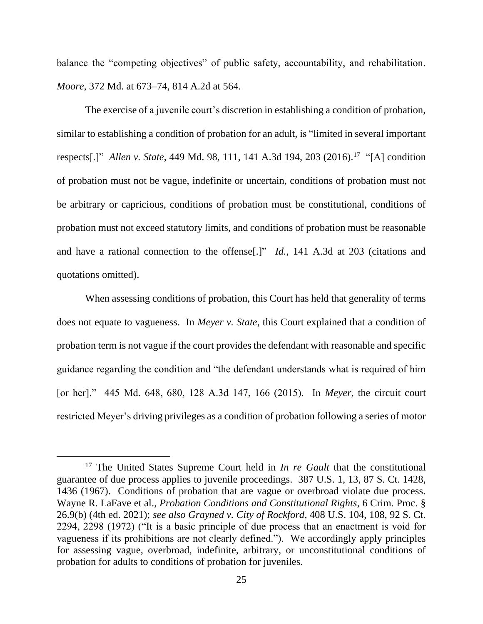balance the "competing objectives" of public safety, accountability, and rehabilitation. *Moore*, 372 Md. at 673–74, 814 A.2d at 564.

The exercise of a juvenile court's discretion in establishing a condition of probation, similar to establishing a condition of probation for an adult, is "limited in several important respects[.]" *Allen v. State*, 449 Md. 98, 111, 141 A.3d 194, 203 (2016).<sup>17</sup> "[A] condition of probation must not be vague, indefinite or uncertain, conditions of probation must not be arbitrary or capricious, conditions of probation must be constitutional, conditions of probation must not exceed statutory limits, and conditions of probation must be reasonable and have a rational connection to the offense[.]" *Id.*, 141 A.3d at 203 (citations and quotations omitted).

When assessing conditions of probation, this Court has held that generality of terms does not equate to vagueness. In *Meyer v. State*, this Court explained that a condition of probation term is not vague if the court provides the defendant with reasonable and specific guidance regarding the condition and "the defendant understands what is required of him [or her]." 445 Md. 648, 680, 128 A.3d 147, 166 (2015). In *Meyer*, the circuit court restricted Meyer's driving privileges as a condition of probation following a series of motor

<sup>17</sup> The United States Supreme Court held in *In re Gault* that the constitutional guarantee of due process applies to juvenile proceedings. 387 U.S. 1, 13, 87 S. Ct. 1428, 1436 (1967). Conditions of probation that are vague or overbroad violate due process. Wayne R. LaFave et al., *Probation Conditions and Constitutional Rights*, 6 Crim. Proc. § 26.9(b) (4th ed. 2021); *see also Grayned v. City of Rockford*, 408 U.S. 104, 108, 92 S. Ct. 2294, 2298 (1972) ("It is a basic principle of due process that an enactment is void for vagueness if its prohibitions are not clearly defined."). We accordingly apply principles for assessing vague, overbroad, indefinite, arbitrary, or unconstitutional conditions of probation for adults to conditions of probation for juveniles.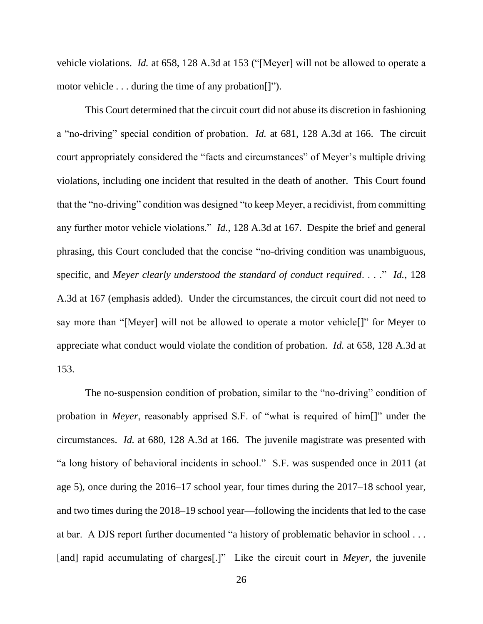vehicle violations. *Id.* at 658, 128 A.3d at 153 ("[Meyer] will not be allowed to operate a motor vehicle . . . during the time of any probation[]").

This Court determined that the circuit court did not abuse its discretion in fashioning a "no-driving" special condition of probation. *Id.* at 681, 128 A.3d at 166. The circuit court appropriately considered the "facts and circumstances" of Meyer's multiple driving violations, including one incident that resulted in the death of another. This Court found that the "no-driving" condition was designed "to keep Meyer, a recidivist, from committing any further motor vehicle violations." *Id.*, 128 A.3d at 167. Despite the brief and general phrasing, this Court concluded that the concise "no-driving condition was unambiguous, specific, and *Meyer clearly understood the standard of conduct required*. . . ." *Id.*, 128 A.3d at 167 (emphasis added). Under the circumstances, the circuit court did not need to say more than "[Meyer] will not be allowed to operate a motor vehicle[]" for Meyer to appreciate what conduct would violate the condition of probation. *Id.* at 658, 128 A.3d at 153.

The no-suspension condition of probation, similar to the "no-driving" condition of probation in *Meyer*, reasonably apprised S.F. of "what is required of him[]" under the circumstances. *Id.* at 680, 128 A.3d at 166. The juvenile magistrate was presented with "a long history of behavioral incidents in school." S.F. was suspended once in 2011 (at age 5), once during the 2016–17 school year, four times during the 2017–18 school year, and two times during the 2018–19 school year—following the incidents that led to the case at bar. A DJS report further documented "a history of problematic behavior in school . . . [and] rapid accumulating of charges[.]" Like the circuit court in *Meyer*, the juvenile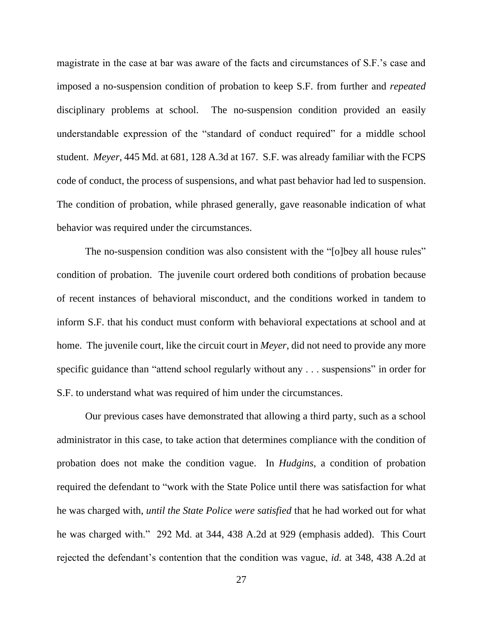magistrate in the case at bar was aware of the facts and circumstances of S.F.'s case and imposed a no-suspension condition of probation to keep S.F. from further and *repeated*  disciplinary problems at school. The no-suspension condition provided an easily understandable expression of the "standard of conduct required" for a middle school student. *Meyer*, 445 Md. at 681, 128 A.3d at 167. S.F. was already familiar with the FCPS code of conduct, the process of suspensions, and what past behavior had led to suspension. The condition of probation, while phrased generally, gave reasonable indication of what behavior was required under the circumstances.

The no-suspension condition was also consistent with the "[o]bey all house rules" condition of probation. The juvenile court ordered both conditions of probation because of recent instances of behavioral misconduct, and the conditions worked in tandem to inform S.F. that his conduct must conform with behavioral expectations at school and at home. The juvenile court, like the circuit court in *Meyer*, did not need to provide any more specific guidance than "attend school regularly without any . . . suspensions" in order for S.F. to understand what was required of him under the circumstances.

Our previous cases have demonstrated that allowing a third party, such as a school administrator in this case, to take action that determines compliance with the condition of probation does not make the condition vague. In *Hudgins*, a condition of probation required the defendant to "work with the State Police until there was satisfaction for what he was charged with, *until the State Police were satisfied* that he had worked out for what he was charged with." 292 Md. at 344, 438 A.2d at 929 (emphasis added). This Court rejected the defendant's contention that the condition was vague, *id.* at 348, 438 A.2d at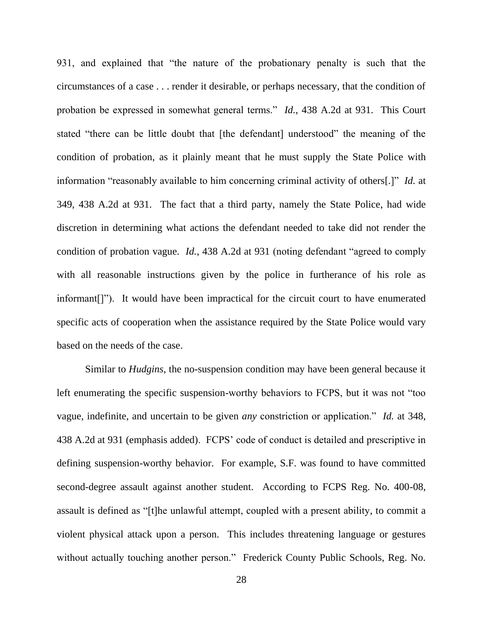931, and explained that "the nature of the probationary penalty is such that the circumstances of a case . . . render it desirable, or perhaps necessary, that the condition of probation be expressed in somewhat general terms." *Id.*, 438 A.2d at 931. This Court stated "there can be little doubt that [the defendant] understood" the meaning of the condition of probation, as it plainly meant that he must supply the State Police with information "reasonably available to him concerning criminal activity of others[.]" *Id.* at 349, 438 A.2d at 931. The fact that a third party, namely the State Police, had wide discretion in determining what actions the defendant needed to take did not render the condition of probation vague. *Id.*, 438 A.2d at 931 (noting defendant "agreed to comply with all reasonable instructions given by the police in furtherance of his role as informant[]"). It would have been impractical for the circuit court to have enumerated specific acts of cooperation when the assistance required by the State Police would vary based on the needs of the case.

Similar to *Hudgins*, the no-suspension condition may have been general because it left enumerating the specific suspension-worthy behaviors to FCPS, but it was not "too vague, indefinite, and uncertain to be given *any* constriction or application." *Id.* at 348, 438 A.2d at 931 (emphasis added). FCPS' code of conduct is detailed and prescriptive in defining suspension-worthy behavior. For example, S.F. was found to have committed second-degree assault against another student. According to FCPS Reg. No. 400-08, assault is defined as "[t]he unlawful attempt, coupled with a present ability, to commit a violent physical attack upon a person. This includes threatening language or gestures without actually touching another person." Frederick County Public Schools, Reg. No.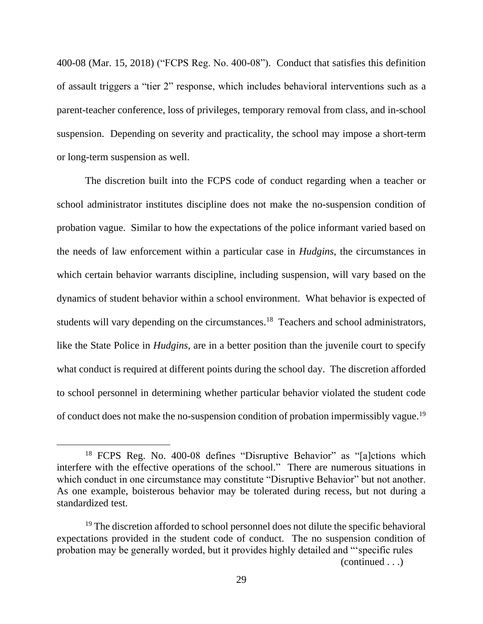400-08 (Mar. 15, 2018) ("FCPS Reg. No. 400-08"). Conduct that satisfies this definition of assault triggers a "tier 2" response, which includes behavioral interventions such as a parent-teacher conference, loss of privileges, temporary removal from class, and in-school suspension. Depending on severity and practicality, the school may impose a short-term or long-term suspension as well.

The discretion built into the FCPS code of conduct regarding when a teacher or school administrator institutes discipline does not make the no-suspension condition of probation vague. Similar to how the expectations of the police informant varied based on the needs of law enforcement within a particular case in *Hudgins*, the circumstances in which certain behavior warrants discipline, including suspension, will vary based on the dynamics of student behavior within a school environment. What behavior is expected of students will vary depending on the circumstances.<sup>18</sup> Teachers and school administrators, like the State Police in *Hudgins*, are in a better position than the juvenile court to specify what conduct is required at different points during the school day. The discretion afforded to school personnel in determining whether particular behavior violated the student code of conduct does not make the no-suspension condition of probation impermissibly vague.<sup>19</sup>

(continued . . .)

<sup>&</sup>lt;sup>18</sup> FCPS Reg. No. 400-08 defines "Disruptive Behavior" as "[a]ctions which interfere with the effective operations of the school." There are numerous situations in which conduct in one circumstance may constitute "Disruptive Behavior" but not another. As one example, boisterous behavior may be tolerated during recess, but not during a standardized test.

<sup>&</sup>lt;sup>19</sup> The discretion afforded to school personnel does not dilute the specific behavioral expectations provided in the student code of conduct. The no suspension condition of probation may be generally worded, but it provides highly detailed and "'specific rules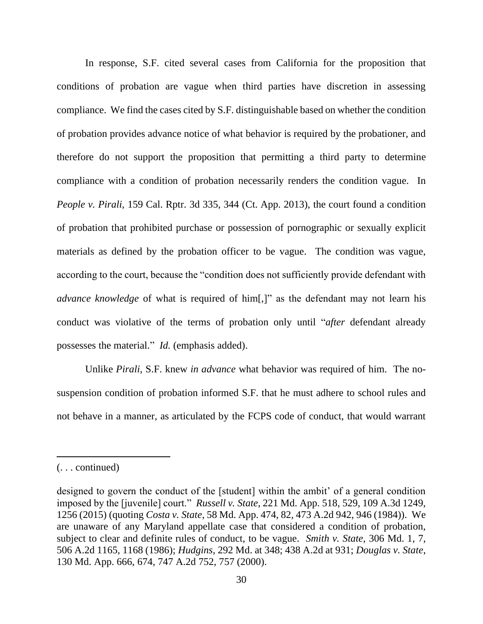In response, S.F. cited several cases from California for the proposition that conditions of probation are vague when third parties have discretion in assessing compliance. We find the cases cited by S.F. distinguishable based on whether the condition of probation provides advance notice of what behavior is required by the probationer, and therefore do not support the proposition that permitting a third party to determine compliance with a condition of probation necessarily renders the condition vague. In *People v. Pirali*, 159 Cal. Rptr. 3d 335, 344 (Ct. App. 2013), the court found a condition of probation that prohibited purchase or possession of pornographic or sexually explicit materials as defined by the probation officer to be vague. The condition was vague, according to the court, because the "condition does not sufficiently provide defendant with *advance knowledge* of what is required of him[,]" as the defendant may not learn his conduct was violative of the terms of probation only until "*after* defendant already possesses the material." *Id.* (emphasis added).

Unlike *Pirali*, S.F. knew *in advance* what behavior was required of him. The nosuspension condition of probation informed S.F. that he must adhere to school rules and not behave in a manner, as articulated by the FCPS code of conduct, that would warrant

<sup>(. . .</sup> continued)

designed to govern the conduct of the [student] within the ambit' of a general condition imposed by the [juvenile] court." *Russell v. State*, 221 Md. App. 518, 529, 109 A.3d 1249, 1256 (2015) (quoting *Costa v. State*, 58 Md. App. 474, 82, 473 A.2d 942, 946 (1984)). We are unaware of any Maryland appellate case that considered a condition of probation, subject to clear and definite rules of conduct, to be vague. *Smith v. State*, 306 Md. 1, 7, 506 A.2d 1165, 1168 (1986); *Hudgins*, 292 Md. at 348; 438 A.2d at 931; *Douglas v. State*, 130 Md. App. 666, 674, 747 A.2d 752, 757 (2000).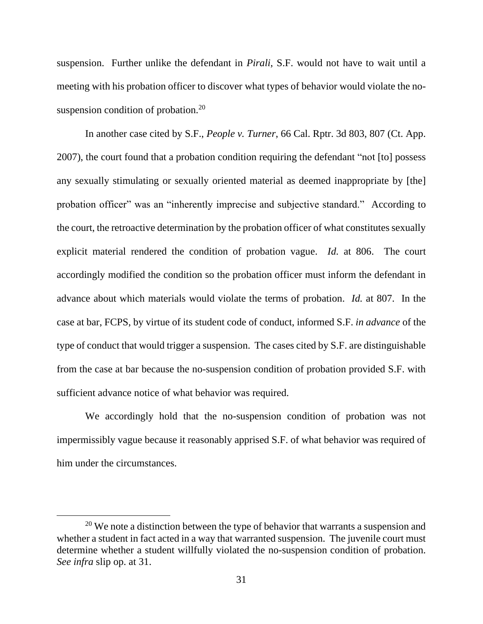suspension. Further unlike the defendant in *Pirali*, S.F. would not have to wait until a meeting with his probation officer to discover what types of behavior would violate the nosuspension condition of probation.<sup>20</sup>

In another case cited by S.F., *People v. Turner*, 66 Cal. Rptr. 3d 803, 807 (Ct. App. 2007), the court found that a probation condition requiring the defendant "not [to] possess any sexually stimulating or sexually oriented material as deemed inappropriate by [the] probation officer" was an "inherently imprecise and subjective standard." According to the court, the retroactive determination by the probation officer of what constitutes sexually explicit material rendered the condition of probation vague. *Id.* at 806. The court accordingly modified the condition so the probation officer must inform the defendant in advance about which materials would violate the terms of probation. *Id.* at 807. In the case at bar, FCPS, by virtue of its student code of conduct, informed S.F. *in advance* of the type of conduct that would trigger a suspension. The cases cited by S.F. are distinguishable from the case at bar because the no-suspension condition of probation provided S.F. with sufficient advance notice of what behavior was required.

We accordingly hold that the no-suspension condition of probation was not impermissibly vague because it reasonably apprised S.F. of what behavior was required of him under the circumstances.

<sup>&</sup>lt;sup>20</sup> We note a distinction between the type of behavior that warrants a suspension and whether a student in fact acted in a way that warranted suspension. The juvenile court must determine whether a student willfully violated the no-suspension condition of probation. *See infra* slip op. at 31.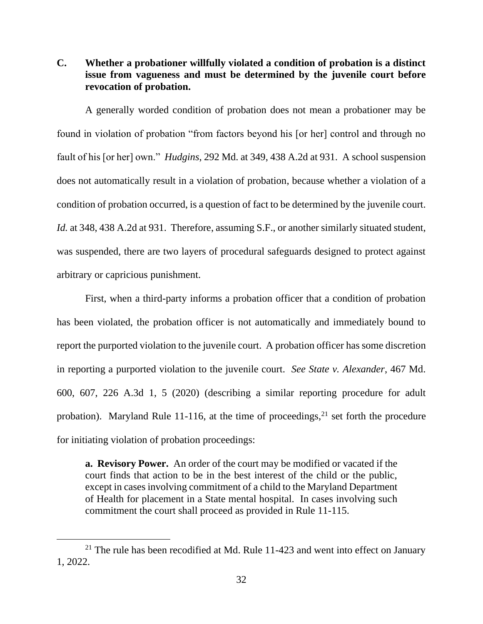**C. Whether a probationer willfully violated a condition of probation is a distinct issue from vagueness and must be determined by the juvenile court before revocation of probation.**

A generally worded condition of probation does not mean a probationer may be found in violation of probation "from factors beyond his [or her] control and through no fault of his [or her] own." *Hudgins*, 292 Md. at 349, 438 A.2d at 931. A school suspension does not automatically result in a violation of probation, because whether a violation of a condition of probation occurred, is a question of fact to be determined by the juvenile court. Id. at 348, 438 A.2d at 931. Therefore, assuming S.F., or another similarly situated student, was suspended, there are two layers of procedural safeguards designed to protect against arbitrary or capricious punishment.

First, when a third-party informs a probation officer that a condition of probation has been violated, the probation officer is not automatically and immediately bound to report the purported violation to the juvenile court. A probation officer has some discretion in reporting a purported violation to the juvenile court. *See State v. Alexander*, 467 Md. 600, 607, 226 A.3d 1, 5 (2020) (describing a similar reporting procedure for adult probation). Maryland Rule 11-116, at the time of proceedings,  $2<sup>1</sup>$  set forth the procedure for initiating violation of probation proceedings:

**a. Revisory Power.** An order of the court may be modified or vacated if the court finds that action to be in the best interest of the child or the public, except in cases involving commitment of a child to the Maryland Department of Health for placement in a State mental hospital. In cases involving such commitment the court shall proceed as provided in Rule 11-115.

 $21$  The rule has been recodified at Md. Rule 11-423 and went into effect on January 1, 2022.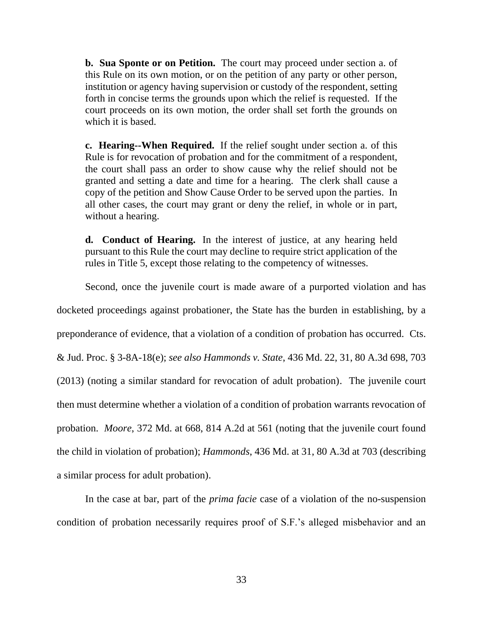**b. Sua Sponte or on Petition.** The court may proceed under section a. of this Rule on its own motion, or on the petition of any party or other person, institution or agency having supervision or custody of the respondent, setting forth in concise terms the grounds upon which the relief is requested. If the court proceeds on its own motion, the order shall set forth the grounds on which it is based.

**c. Hearing--When Required.** If the relief sought under section a. of this Rule is for revocation of probation and for the commitment of a respondent, the court shall pass an order to show cause why the relief should not be granted and setting a date and time for a hearing. The clerk shall cause a copy of the petition and Show Cause Order to be served upon the parties. In all other cases, the court may grant or deny the relief, in whole or in part, without a hearing.

**d. Conduct of Hearing.** In the interest of justice, at any hearing held pursuant to this Rule the court may decline to require strict application of the rules in Title 5, except those relating to the competency of witnesses.

Second, once the juvenile court is made aware of a purported violation and has docketed proceedings against probationer, the State has the burden in establishing, by a preponderance of evidence, that a violation of a condition of probation has occurred. Cts. & Jud. Proc. § 3-8A-18(e); *see also Hammonds v. State*, 436 Md. 22, 31, 80 A.3d 698, 703 (2013) (noting a similar standard for revocation of adult probation). The juvenile court then must determine whether a violation of a condition of probation warrants revocation of probation. *Moore*, 372 Md. at 668, 814 A.2d at 561 (noting that the juvenile court found the child in violation of probation); *Hammonds*, 436 Md. at 31, 80 A.3d at 703 (describing a similar process for adult probation).

In the case at bar, part of the *prima facie* case of a violation of the no-suspension condition of probation necessarily requires proof of S.F.'s alleged misbehavior and an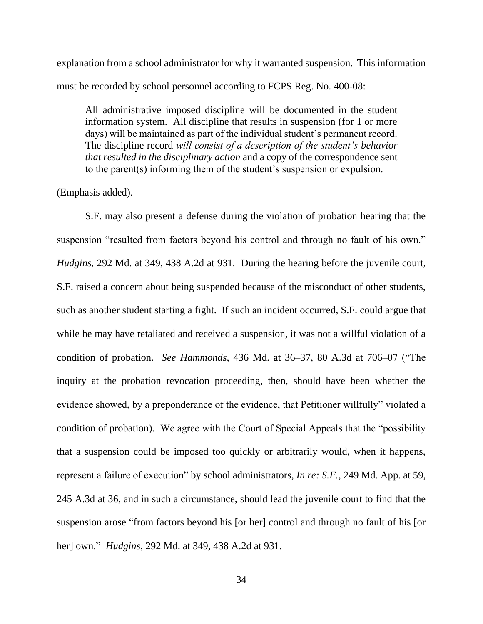explanation from a school administrator for why it warranted suspension. This information must be recorded by school personnel according to FCPS Reg. No. 400-08:

All administrative imposed discipline will be documented in the student information system. All discipline that results in suspension (for 1 or more days) will be maintained as part of the individual student's permanent record. The discipline record *will consist of a description of the student's behavior that resulted in the disciplinary action* and a copy of the correspondence sent to the parent(s) informing them of the student's suspension or expulsion.

(Emphasis added).

S.F. may also present a defense during the violation of probation hearing that the suspension "resulted from factors beyond his control and through no fault of his own." *Hudgins*, 292 Md. at 349, 438 A.2d at 931. During the hearing before the juvenile court, S.F. raised a concern about being suspended because of the misconduct of other students, such as another student starting a fight. If such an incident occurred, S.F. could argue that while he may have retaliated and received a suspension, it was not a willful violation of a condition of probation. *See Hammonds*, 436 Md. at 36–37, 80 A.3d at 706–07 ("The inquiry at the probation revocation proceeding, then, should have been whether the evidence showed, by a preponderance of the evidence, that Petitioner willfully" violated a condition of probation). We agree with the Court of Special Appeals that the "possibility that a suspension could be imposed too quickly or arbitrarily would, when it happens, represent a failure of execution" by school administrators, *In re: S.F.*, 249 Md. App. at 59, 245 A.3d at 36, and in such a circumstance, should lead the juvenile court to find that the suspension arose "from factors beyond his [or her] control and through no fault of his [or her] own." *Hudgins*, 292 Md. at 349, 438 A.2d at 931.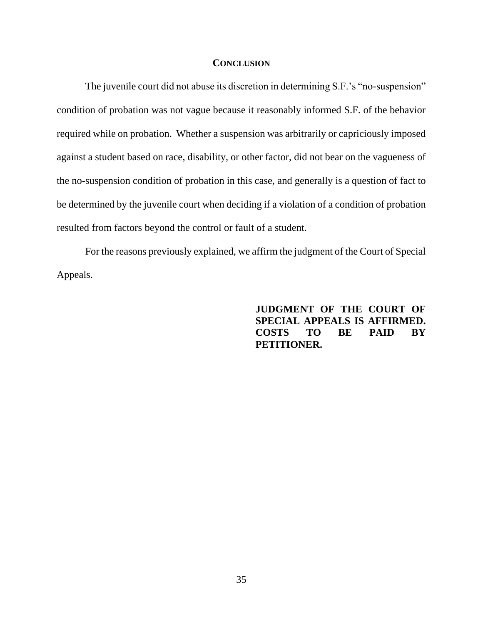#### **CONCLUSION**

The juvenile court did not abuse its discretion in determining S.F.'s "no-suspension" condition of probation was not vague because it reasonably informed S.F. of the behavior required while on probation. Whether a suspension was arbitrarily or capriciously imposed against a student based on race, disability, or other factor, did not bear on the vagueness of the no-suspension condition of probation in this case, and generally is a question of fact to be determined by the juvenile court when deciding if a violation of a condition of probation resulted from factors beyond the control or fault of a student.

For the reasons previously explained, we affirm the judgment of the Court of Special Appeals.

> **JUDGMENT OF THE COURT OF SPECIAL APPEALS IS AFFIRMED. COSTS TO BE PAID BY PETITIONER.**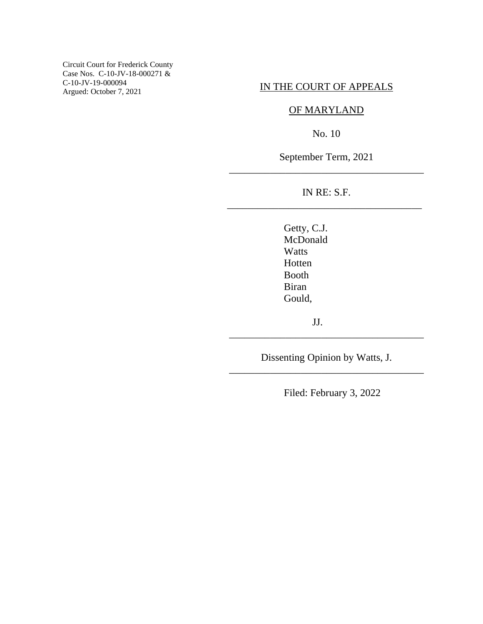Circuit Court for Frederick County Case Nos. C-10-JV-18-000271 & C-10-JV-19-000094 Argued: October 7, 2021

### IN THE COURT OF APPEALS

# OF MARYLAND

No. 10

September Term, 2021 \_\_\_\_\_\_\_\_\_\_\_\_\_\_\_\_\_\_\_\_\_\_\_\_\_\_\_\_\_\_\_\_\_\_\_\_\_\_

# IN RE: S.F. \_\_\_\_\_\_\_\_\_\_\_\_\_\_\_\_\_\_\_\_\_\_\_\_\_\_\_\_\_\_\_\_\_\_\_\_\_\_

Getty, C.J. McDonald **Watts** Hotten Booth Biran Gould,

JJ.

Dissenting Opinion by Watts, J. \_\_\_\_\_\_\_\_\_\_\_\_\_\_\_\_\_\_\_\_\_\_\_\_\_\_\_\_\_\_\_\_\_\_\_\_\_\_

\_\_\_\_\_\_\_\_\_\_\_\_\_\_\_\_\_\_\_\_\_\_\_\_\_\_\_\_\_\_\_\_\_\_\_\_\_\_

Filed: February 3, 2022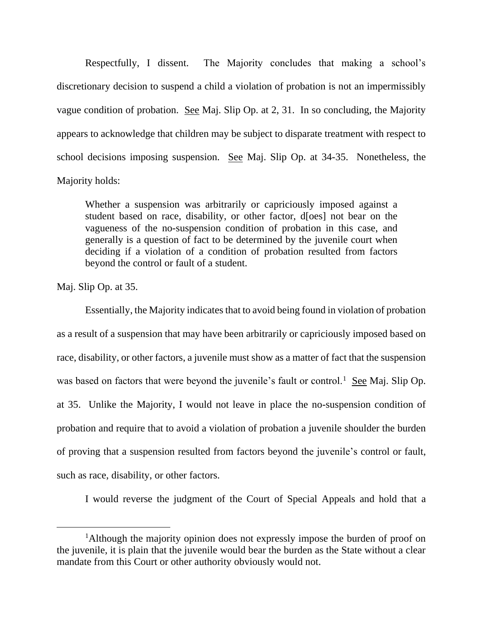Respectfully, I dissent. The Majority concludes that making a school's discretionary decision to suspend a child a violation of probation is not an impermissibly vague condition of probation. See Maj. Slip Op. at 2, 31. In so concluding, the Majority appears to acknowledge that children may be subject to disparate treatment with respect to school decisions imposing suspension. See Maj. Slip Op. at 34-35. Nonetheless, the Majority holds:

Whether a suspension was arbitrarily or capriciously imposed against a student based on race, disability, or other factor, d[oes] not bear on the vagueness of the no-suspension condition of probation in this case, and generally is a question of fact to be determined by the juvenile court when deciding if a violation of a condition of probation resulted from factors beyond the control or fault of a student.

Maj. Slip Op. at 35.

Essentially, the Majority indicates that to avoid being found in violation of probation as a result of a suspension that may have been arbitrarily or capriciously imposed based on race, disability, or other factors, a juvenile must show as a matter of fact that the suspension was based on factors that were beyond the juvenile's fault or control.<sup>1</sup> See Maj. Slip Op. at 35. Unlike the Majority, I would not leave in place the no-suspension condition of probation and require that to avoid a violation of probation a juvenile shoulder the burden of proving that a suspension resulted from factors beyond the juvenile's control or fault, such as race, disability, or other factors.

I would reverse the judgment of the Court of Special Appeals and hold that a

<sup>&</sup>lt;sup>1</sup>Although the majority opinion does not expressly impose the burden of proof on the juvenile, it is plain that the juvenile would bear the burden as the State without a clear mandate from this Court or other authority obviously would not.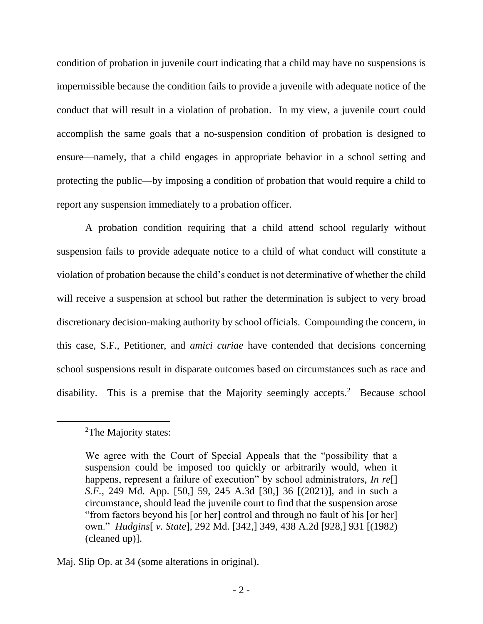condition of probation in juvenile court indicating that a child may have no suspensions is impermissible because the condition fails to provide a juvenile with adequate notice of the conduct that will result in a violation of probation. In my view, a juvenile court could accomplish the same goals that a no-suspension condition of probation is designed to ensure—namely, that a child engages in appropriate behavior in a school setting and protecting the public—by imposing a condition of probation that would require a child to report any suspension immediately to a probation officer.

A probation condition requiring that a child attend school regularly without suspension fails to provide adequate notice to a child of what conduct will constitute a violation of probation because the child's conduct is not determinative of whether the child will receive a suspension at school but rather the determination is subject to very broad discretionary decision-making authority by school officials. Compounding the concern, in this case, S.F., Petitioner, and *amici curiae* have contended that decisions concerning school suspensions result in disparate outcomes based on circumstances such as race and disability. This is a premise that the Majority seemingly accepts.<sup>2</sup> Because school

<sup>&</sup>lt;sup>2</sup>The Majority states:

We agree with the Court of Special Appeals that the "possibility that a suspension could be imposed too quickly or arbitrarily would, when it happens, represent a failure of execution" by school administrators, *In re*[] *S.F.*, 249 Md. App. [50,] 59, 245 A.3d [30,] 36 [(2021)], and in such a circumstance, should lead the juvenile court to find that the suspension arose "from factors beyond his [or her] control and through no fault of his [or her] own." *Hudgins*[ *v. State*], 292 Md. [342,] 349, 438 A.2d [928,] 931 [(1982) (cleaned up)].

Maj. Slip Op. at 34 (some alterations in original).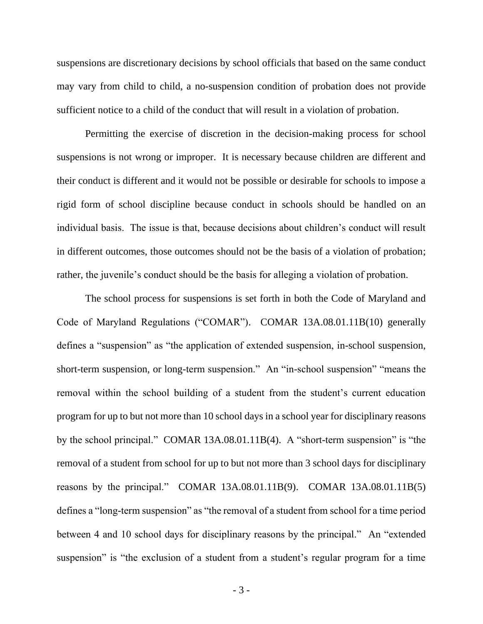suspensions are discretionary decisions by school officials that based on the same conduct may vary from child to child, a no-suspension condition of probation does not provide sufficient notice to a child of the conduct that will result in a violation of probation.

Permitting the exercise of discretion in the decision-making process for school suspensions is not wrong or improper. It is necessary because children are different and their conduct is different and it would not be possible or desirable for schools to impose a rigid form of school discipline because conduct in schools should be handled on an individual basis. The issue is that, because decisions about children's conduct will result in different outcomes, those outcomes should not be the basis of a violation of probation; rather, the juvenile's conduct should be the basis for alleging a violation of probation.

The school process for suspensions is set forth in both the Code of Maryland and Code of Maryland Regulations ("COMAR"). COMAR 13A.08.01.11B(10) generally defines a "suspension" as "the application of extended suspension, in-school suspension, short-term suspension, or long-term suspension." An "in-school suspension" "means the removal within the school building of a student from the student's current education program for up to but not more than 10 school days in a school year for disciplinary reasons by the school principal." COMAR 13A.08.01.11B(4). A "short-term suspension" is "the removal of a student from school for up to but not more than 3 school days for disciplinary reasons by the principal." COMAR 13A.08.01.11B(9). COMAR 13A.08.01.11B(5) defines a "long-term suspension" as "the removal of a student from school for a time period between 4 and 10 school days for disciplinary reasons by the principal." An "extended suspension" is "the exclusion of a student from a student's regular program for a time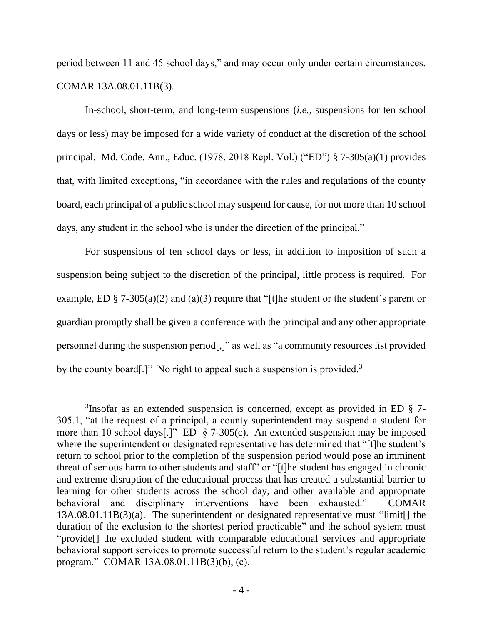period between 11 and 45 school days," and may occur only under certain circumstances. COMAR 13A.08.01.11B(3).

In-school, short-term, and long-term suspensions (*i.e.*, suspensions for ten school days or less) may be imposed for a wide variety of conduct at the discretion of the school principal. Md. Code. Ann., Educ. (1978, 2018 Repl. Vol.) ("ED") § 7-305(a)(1) provides that, with limited exceptions, "in accordance with the rules and regulations of the county board, each principal of a public school may suspend for cause, for not more than 10 school days, any student in the school who is under the direction of the principal."

For suspensions of ten school days or less, in addition to imposition of such a suspension being subject to the discretion of the principal, little process is required. For example, ED § 7-305(a)(2) and (a)(3) require that "[t]he student or the student's parent or guardian promptly shall be given a conference with the principal and any other appropriate personnel during the suspension period[,]" as well as "a community resources list provided by the county board.]" No right to appeal such a suspension is provided.<sup>3</sup>

<sup>3</sup> Insofar as an extended suspension is concerned, except as provided in ED § 7- 305.1, "at the request of a principal, a county superintendent may suspend a student for more than 10 school days[.]" ED § 7-305(c). An extended suspension may be imposed where the superintendent or designated representative has determined that "[t]he student's return to school prior to the completion of the suspension period would pose an imminent threat of serious harm to other students and staff" or "[t]he student has engaged in chronic and extreme disruption of the educational process that has created a substantial barrier to learning for other students across the school day, and other available and appropriate behavioral and disciplinary interventions have been exhausted." COMAR 13A.08.01.11B(3)(a). The superintendent or designated representative must "limit[] the duration of the exclusion to the shortest period practicable" and the school system must "provide[] the excluded student with comparable educational services and appropriate behavioral support services to promote successful return to the student's regular academic program." COMAR 13A.08.01.11B(3)(b), (c).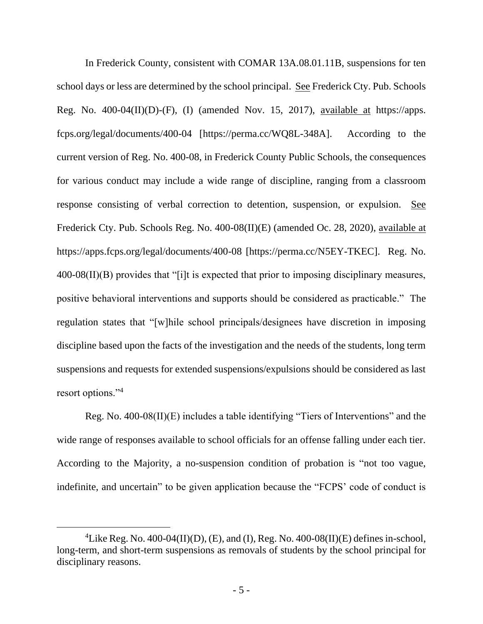In Frederick County, consistent with COMAR 13A.08.01.11B, suspensions for ten school days or less are determined by the school principal. See Frederick Cty. Pub. Schools Reg. No.  $400-04(II)(D)-(F)$ , (I) (amended Nov. 15, 2017), available at https://apps. fcps.org/legal/documents/400-04 [https://perma.cc/WQ8L-348A]. According to the current version of Reg. No. 400-08, in Frederick County Public Schools, the consequences for various conduct may include a wide range of discipline, ranging from a classroom response consisting of verbal correction to detention, suspension, or expulsion. See Frederick Cty. Pub. Schools Reg. No. 400-08(II)(E) (amended Oc. 28, 2020), available at https://apps.fcps.org/legal/documents/400-08 [https://perma.cc/N5EY-TKEC]. Reg. No. 400-08(II)(B) provides that "[i]t is expected that prior to imposing disciplinary measures, positive behavioral interventions and supports should be considered as practicable." The regulation states that "[w]hile school principals/designees have discretion in imposing discipline based upon the facts of the investigation and the needs of the students, long term suspensions and requests for extended suspensions/expulsions should be considered as last resort options."<sup>4</sup>

Reg. No. 400-08(II)(E) includes a table identifying "Tiers of Interventions" and the wide range of responses available to school officials for an offense falling under each tier. According to the Majority, a no-suspension condition of probation is "not too vague, indefinite, and uncertain" to be given application because the "FCPS' code of conduct is

<sup>&</sup>lt;sup>4</sup>Like Reg. No. 400-04(II)(D), (E), and (I), Reg. No. 400-08(II)(E) defines in-school, long-term, and short-term suspensions as removals of students by the school principal for disciplinary reasons.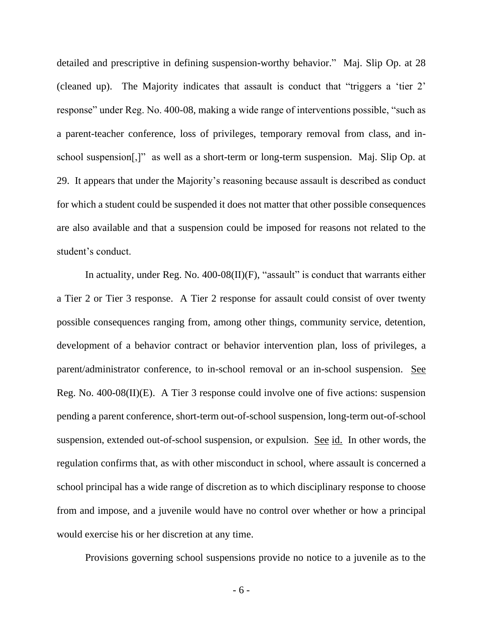detailed and prescriptive in defining suspension-worthy behavior." Maj. Slip Op. at 28 (cleaned up). The Majority indicates that assault is conduct that "triggers a 'tier 2' response" under Reg. No. 400-08, making a wide range of interventions possible, "such as a parent-teacher conference, loss of privileges, temporary removal from class, and inschool suspension[,]" as well as a short-term or long-term suspension. Maj. Slip Op. at 29. It appears that under the Majority's reasoning because assault is described as conduct for which a student could be suspended it does not matter that other possible consequences are also available and that a suspension could be imposed for reasons not related to the student's conduct.

In actuality, under Reg. No.  $400-08(II)(F)$ , "assault" is conduct that warrants either a Tier 2 or Tier 3 response. A Tier 2 response for assault could consist of over twenty possible consequences ranging from, among other things, community service, detention, development of a behavior contract or behavior intervention plan, loss of privileges, a parent/administrator conference, to in-school removal or an in-school suspension. See Reg. No. 400-08(II)(E). A Tier 3 response could involve one of five actions: suspension pending a parent conference, short-term out-of-school suspension, long-term out-of-school suspension, extended out-of-school suspension, or expulsion. See id. In other words, the regulation confirms that, as with other misconduct in school, where assault is concerned a school principal has a wide range of discretion as to which disciplinary response to choose from and impose, and a juvenile would have no control over whether or how a principal would exercise his or her discretion at any time.

Provisions governing school suspensions provide no notice to a juvenile as to the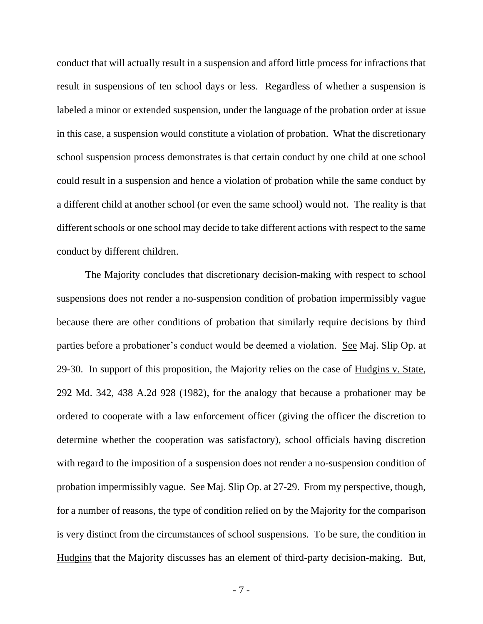conduct that will actually result in a suspension and afford little process for infractions that result in suspensions of ten school days or less. Regardless of whether a suspension is labeled a minor or extended suspension, under the language of the probation order at issue in this case, a suspension would constitute a violation of probation. What the discretionary school suspension process demonstrates is that certain conduct by one child at one school could result in a suspension and hence a violation of probation while the same conduct by a different child at another school (or even the same school) would not. The reality is that different schools or one school may decide to take different actions with respect to the same conduct by different children.

The Majority concludes that discretionary decision-making with respect to school suspensions does not render a no-suspension condition of probation impermissibly vague because there are other conditions of probation that similarly require decisions by third parties before a probationer's conduct would be deemed a violation. See Maj. Slip Op. at 29-30. In support of this proposition, the Majority relies on the case of Hudgins v. State, 292 Md. 342, 438 A.2d 928 (1982), for the analogy that because a probationer may be ordered to cooperate with a law enforcement officer (giving the officer the discretion to determine whether the cooperation was satisfactory), school officials having discretion with regard to the imposition of a suspension does not render a no-suspension condition of probation impermissibly vague. See Maj. Slip Op. at 27-29. From my perspective, though, for a number of reasons, the type of condition relied on by the Majority for the comparison is very distinct from the circumstances of school suspensions. To be sure, the condition in Hudgins that the Majority discusses has an element of third-party decision-making. But,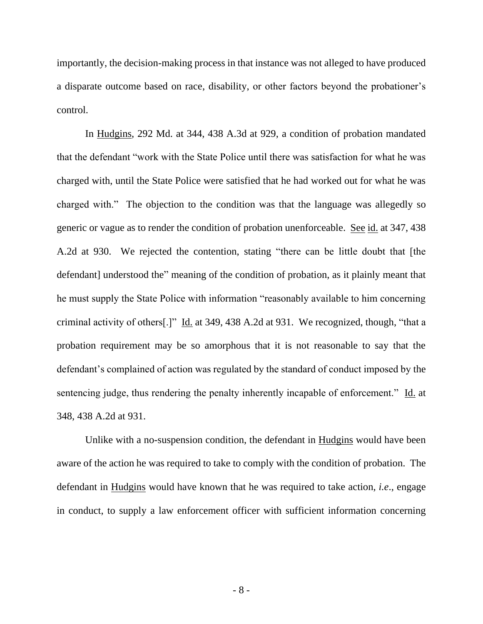importantly, the decision-making process in that instance was not alleged to have produced a disparate outcome based on race, disability, or other factors beyond the probationer's control.

In Hudgins, 292 Md. at 344, 438 A.3d at 929, a condition of probation mandated that the defendant "work with the State Police until there was satisfaction for what he was charged with, until the State Police were satisfied that he had worked out for what he was charged with." The objection to the condition was that the language was allegedly so generic or vague as to render the condition of probation unenforceable. See id. at 347, 438 A.2d at 930. We rejected the contention, stating "there can be little doubt that [the defendant] understood the" meaning of the condition of probation, as it plainly meant that he must supply the State Police with information "reasonably available to him concerning criminal activity of others[.]" Id. at 349, 438 A.2d at 931. We recognized, though, "that a probation requirement may be so amorphous that it is not reasonable to say that the defendant's complained of action was regulated by the standard of conduct imposed by the sentencing judge, thus rendering the penalty inherently incapable of enforcement." Id. at 348, 438 A.2d at 931.

Unlike with a no-suspension condition, the defendant in Hudgins would have been aware of the action he was required to take to comply with the condition of probation. The defendant in Hudgins would have known that he was required to take action, *i.e*., engage in conduct, to supply a law enforcement officer with sufficient information concerning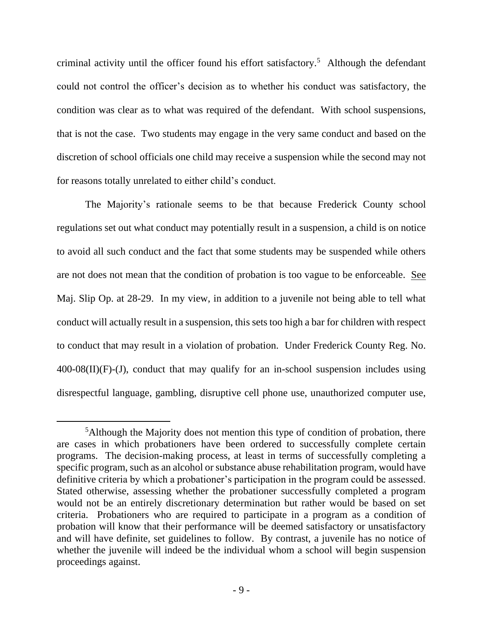criminal activity until the officer found his effort satisfactory. 5 Although the defendant could not control the officer's decision as to whether his conduct was satisfactory, the condition was clear as to what was required of the defendant. With school suspensions, that is not the case. Two students may engage in the very same conduct and based on the discretion of school officials one child may receive a suspension while the second may not for reasons totally unrelated to either child's conduct.

The Majority's rationale seems to be that because Frederick County school regulations set out what conduct may potentially result in a suspension, a child is on notice to avoid all such conduct and the fact that some students may be suspended while others are not does not mean that the condition of probation is too vague to be enforceable. See Maj. Slip Op. at 28-29. In my view, in addition to a juvenile not being able to tell what conduct will actually result in a suspension, this sets too high a bar for children with respect to conduct that may result in a violation of probation. Under Frederick County Reg. No.  $400-08(II)(F)-(J)$ , conduct that may qualify for an in-school suspension includes using disrespectful language, gambling, disruptive cell phone use, unauthorized computer use,

<sup>&</sup>lt;sup>5</sup>Although the Majority does not mention this type of condition of probation, there are cases in which probationers have been ordered to successfully complete certain programs. The decision-making process, at least in terms of successfully completing a specific program, such as an alcohol or substance abuse rehabilitation program, would have definitive criteria by which a probationer's participation in the program could be assessed. Stated otherwise, assessing whether the probationer successfully completed a program would not be an entirely discretionary determination but rather would be based on set criteria. Probationers who are required to participate in a program as a condition of probation will know that their performance will be deemed satisfactory or unsatisfactory and will have definite, set guidelines to follow. By contrast, a juvenile has no notice of whether the juvenile will indeed be the individual whom a school will begin suspension proceedings against.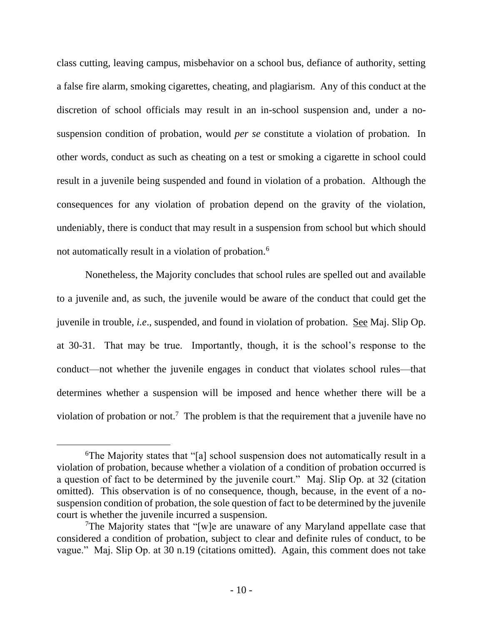class cutting, leaving campus, misbehavior on a school bus, defiance of authority, setting a false fire alarm, smoking cigarettes, cheating, and plagiarism. Any of this conduct at the discretion of school officials may result in an in-school suspension and, under a nosuspension condition of probation, would *per se* constitute a violation of probation. In other words, conduct as such as cheating on a test or smoking a cigarette in school could result in a juvenile being suspended and found in violation of a probation. Although the consequences for any violation of probation depend on the gravity of the violation, undeniably, there is conduct that may result in a suspension from school but which should not automatically result in a violation of probation.<sup>6</sup>

Nonetheless, the Majority concludes that school rules are spelled out and available to a juvenile and, as such, the juvenile would be aware of the conduct that could get the juvenile in trouble, *i.e*., suspended, and found in violation of probation. See Maj. Slip Op. at 30-31. That may be true. Importantly, though, it is the school's response to the conduct—not whether the juvenile engages in conduct that violates school rules—that determines whether a suspension will be imposed and hence whether there will be a violation of probation or not.<sup>7</sup> The problem is that the requirement that a juvenile have no

<sup>6</sup>The Majority states that "[a] school suspension does not automatically result in a violation of probation, because whether a violation of a condition of probation occurred is a question of fact to be determined by the juvenile court." Maj. Slip Op. at 32 (citation omitted). This observation is of no consequence, though, because, in the event of a nosuspension condition of probation, the sole question of fact to be determined by the juvenile court is whether the juvenile incurred a suspension.

<sup>&</sup>lt;sup>7</sup>The Majority states that "[w]e are unaware of any Maryland appellate case that considered a condition of probation, subject to clear and definite rules of conduct, to be vague." Maj. Slip Op. at 30 n.19 (citations omitted). Again, this comment does not take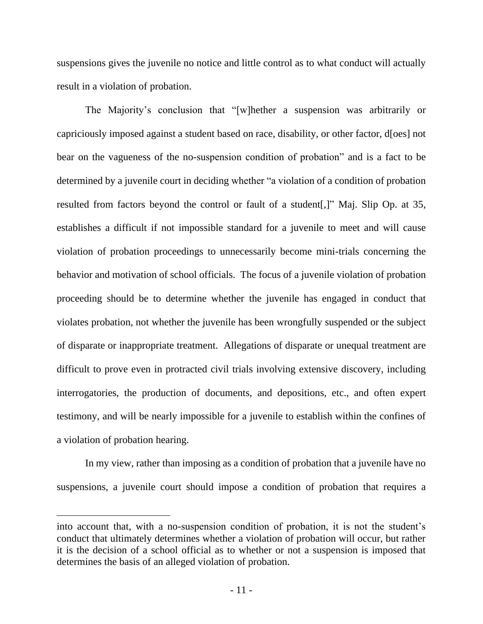suspensions gives the juvenile no notice and little control as to what conduct will actually result in a violation of probation.

The Majority's conclusion that "[w]hether a suspension was arbitrarily or capriciously imposed against a student based on race, disability, or other factor, d[oes] not bear on the vagueness of the no-suspension condition of probation" and is a fact to be determined by a juvenile court in deciding whether "a violation of a condition of probation resulted from factors beyond the control or fault of a student[,]" Maj. Slip Op. at 35, establishes a difficult if not impossible standard for a juvenile to meet and will cause violation of probation proceedings to unnecessarily become mini-trials concerning the behavior and motivation of school officials. The focus of a juvenile violation of probation proceeding should be to determine whether the juvenile has engaged in conduct that violates probation, not whether the juvenile has been wrongfully suspended or the subject of disparate or inappropriate treatment. Allegations of disparate or unequal treatment are difficult to prove even in protracted civil trials involving extensive discovery, including interrogatories, the production of documents, and depositions, etc., and often expert testimony, and will be nearly impossible for a juvenile to establish within the confines of a violation of probation hearing.

In my view, rather than imposing as a condition of probation that a juvenile have no suspensions, a juvenile court should impose a condition of probation that requires a

into account that, with a no-suspension condition of probation, it is not the student's conduct that ultimately determines whether a violation of probation will occur, but rather it is the decision of a school official as to whether or not a suspension is imposed that determines the basis of an alleged violation of probation.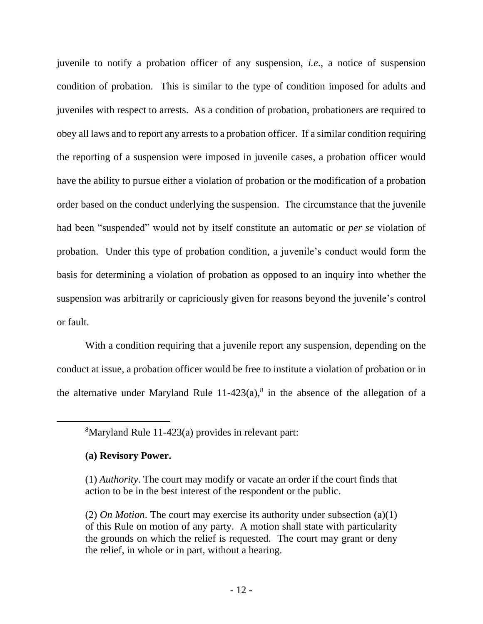juvenile to notify a probation officer of any suspension, *i.e*., a notice of suspension condition of probation. This is similar to the type of condition imposed for adults and juveniles with respect to arrests. As a condition of probation, probationers are required to obey all laws and to report any arrests to a probation officer. If a similar condition requiring the reporting of a suspension were imposed in juvenile cases, a probation officer would have the ability to pursue either a violation of probation or the modification of a probation order based on the conduct underlying the suspension. The circumstance that the juvenile had been "suspended" would not by itself constitute an automatic or *per se* violation of probation. Under this type of probation condition, a juvenile's conduct would form the basis for determining a violation of probation as opposed to an inquiry into whether the suspension was arbitrarily or capriciously given for reasons beyond the juvenile's control or fault.

With a condition requiring that a juvenile report any suspension, depending on the conduct at issue, a probation officer would be free to institute a violation of probation or in the alternative under Maryland Rule  $11-423(a)$ ,<sup>8</sup> in the absence of the allegation of a

# **(a) Revisory Power.**

<sup>8</sup>Maryland Rule 11-423(a) provides in relevant part:

<sup>(1)</sup> *Authority*. The court may modify or vacate an order if the court finds that action to be in the best interest of the respondent or the public.

<sup>(2)</sup> *On Motion*. The court may exercise its authority under subsection (a)(1) of this Rule on motion of any party. A motion shall state with particularity the grounds on which the relief is requested. The court may grant or deny the relief, in whole or in part, without a hearing.